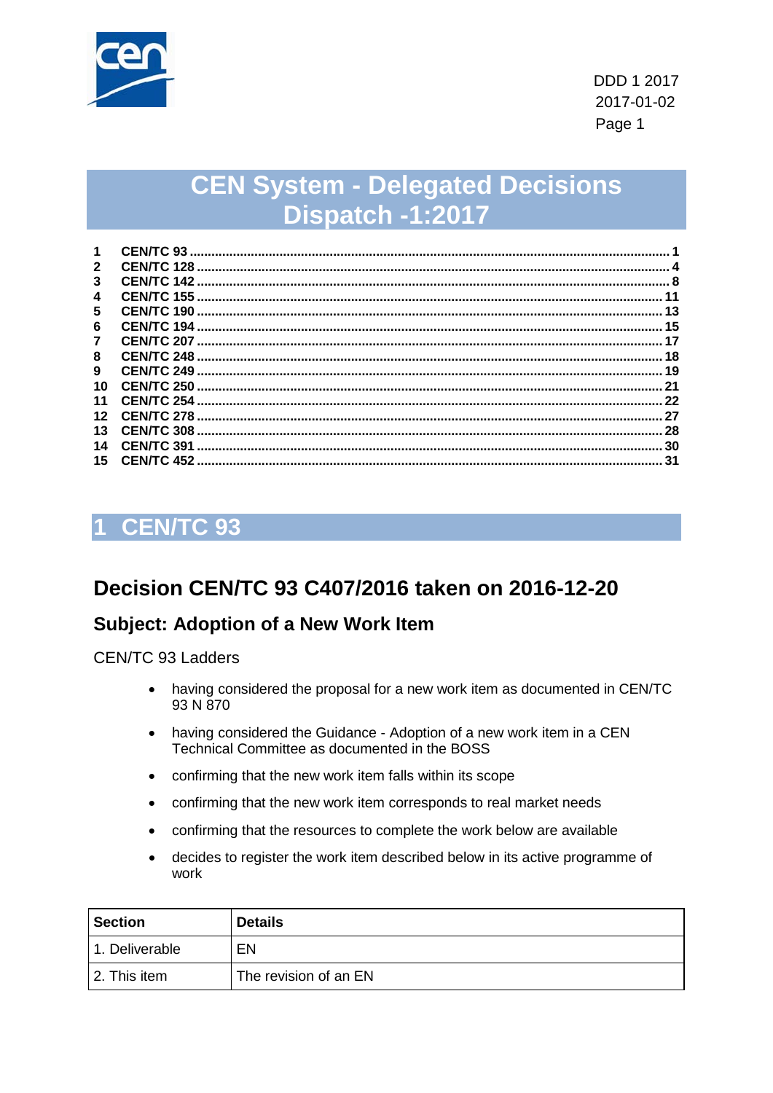

# **CEN System - Delegated Decisions** Dispatch -1:2017

| 1                   | <b>CEN/TC 93</b>   |      |
|---------------------|--------------------|------|
| $\mathbf{2}$        |                    |      |
| 3                   | <b>CEN/TC 142</b>  |      |
| $\overline{\bf{4}}$ |                    |      |
| 5                   | CEN/TC 190         | 13   |
| 6                   |                    | . 15 |
| 7                   | <b>CEN/TC 207.</b> | 17   |
| 8                   |                    | 18   |
| 9                   | CEN/TC 249         | 19   |
| 10                  |                    | 21   |
| 11                  | $CENTC$ 254        | 22   |
| 12                  | CEN/TC 278         | 27   |
| 13                  | CEN/TC 308         | 28   |
| 14                  | CEN/TC 391         | 30   |
| 15                  | CEN/TC 452         | 31   |

## <span id="page-0-0"></span>**CEN/TC 93**

## Decision CEN/TC 93 C407/2016 taken on 2016-12-20

#### **Subject: Adoption of a New Work Item**

**CEN/TC 93 Ladders** 

- having considered the proposal for a new work item as documented in CEN/TC  $\bullet$ 93 N 870
- having considered the Guidance Adoption of a new work item in a CEN  $\bullet$ Technical Committee as documented in the BOSS
- confirming that the new work item falls within its scope
- confirming that the new work item corresponds to real market needs
- confirming that the resources to complete the work below are available
- decides to register the work item described below in its active programme of  $\bullet$ work

| <b>Section</b> | <b>Details</b>        |
|----------------|-----------------------|
| 1. Deliverable | EN                    |
| 2. This item   | The revision of an EN |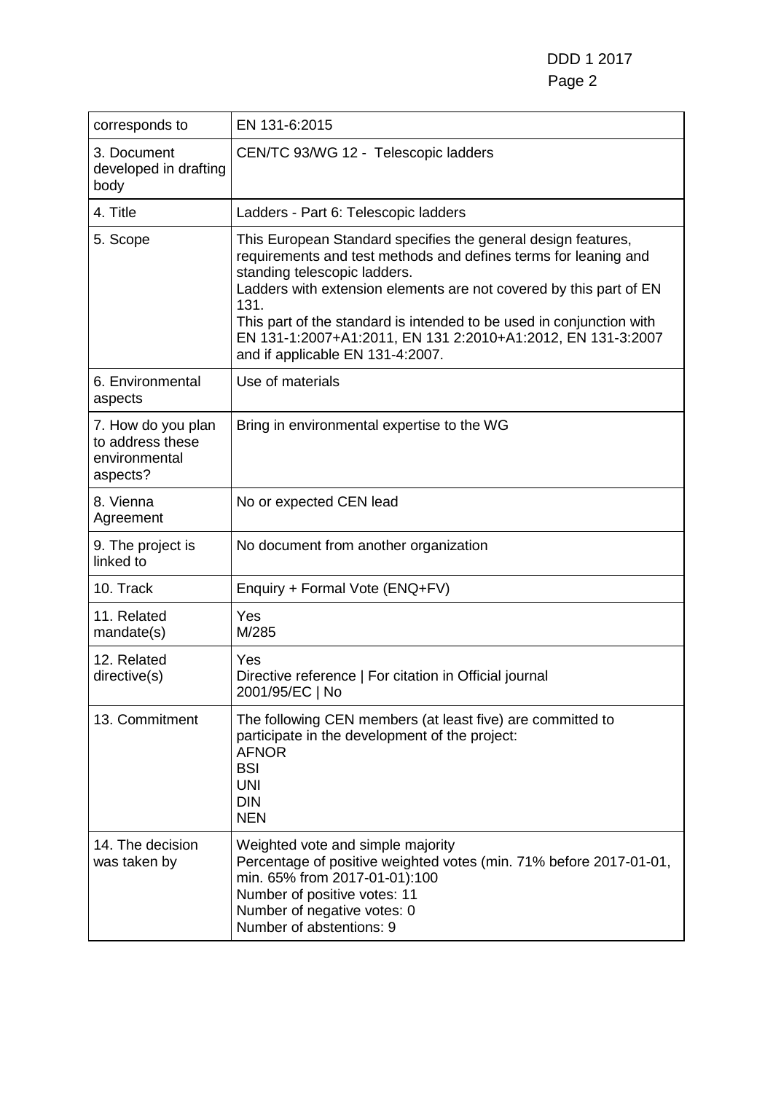DDD 1 2017 Page 2

| corresponds to                                                      | EN 131-6:2015                                                                                                                                                                                                                                                                                                                                                                                                             |
|---------------------------------------------------------------------|---------------------------------------------------------------------------------------------------------------------------------------------------------------------------------------------------------------------------------------------------------------------------------------------------------------------------------------------------------------------------------------------------------------------------|
| 3. Document<br>developed in drafting<br>body                        | CEN/TC 93/WG 12 - Telescopic ladders                                                                                                                                                                                                                                                                                                                                                                                      |
| 4. Title                                                            | Ladders - Part 6: Telescopic ladders                                                                                                                                                                                                                                                                                                                                                                                      |
| 5. Scope                                                            | This European Standard specifies the general design features,<br>requirements and test methods and defines terms for leaning and<br>standing telescopic ladders.<br>Ladders with extension elements are not covered by this part of EN<br>131.<br>This part of the standard is intended to be used in conjunction with<br>EN 131-1:2007+A1:2011, EN 131 2:2010+A1:2012, EN 131-3:2007<br>and if applicable EN 131-4:2007. |
| 6. Environmental<br>aspects                                         | Use of materials                                                                                                                                                                                                                                                                                                                                                                                                          |
| 7. How do you plan<br>to address these<br>environmental<br>aspects? | Bring in environmental expertise to the WG                                                                                                                                                                                                                                                                                                                                                                                |
| 8. Vienna<br>Agreement                                              | No or expected CEN lead                                                                                                                                                                                                                                                                                                                                                                                                   |
| 9. The project is<br>linked to                                      | No document from another organization                                                                                                                                                                                                                                                                                                                                                                                     |
| 10. Track                                                           | Enquiry + Formal Vote (ENQ+FV)                                                                                                                                                                                                                                                                                                                                                                                            |
| 11. Related<br>mandate(s)                                           | Yes<br>M/285                                                                                                                                                                                                                                                                                                                                                                                                              |
| 12. Related<br>directive(s)                                         | Yes<br>Directive reference   For citation in Official journal<br>2001/95/EC   No                                                                                                                                                                                                                                                                                                                                          |
| 13. Commitment                                                      | The following CEN members (at least five) are committed to<br>participate in the development of the project:<br><b>AFNOR</b><br><b>BSI</b><br><b>UNI</b><br><b>DIN</b><br><b>NEN</b>                                                                                                                                                                                                                                      |
| 14. The decision<br>was taken by                                    | Weighted vote and simple majority<br>Percentage of positive weighted votes (min. 71% before 2017-01-01,<br>min. 65% from 2017-01-01):100<br>Number of positive votes: 11<br>Number of negative votes: 0<br>Number of abstentions: 9                                                                                                                                                                                       |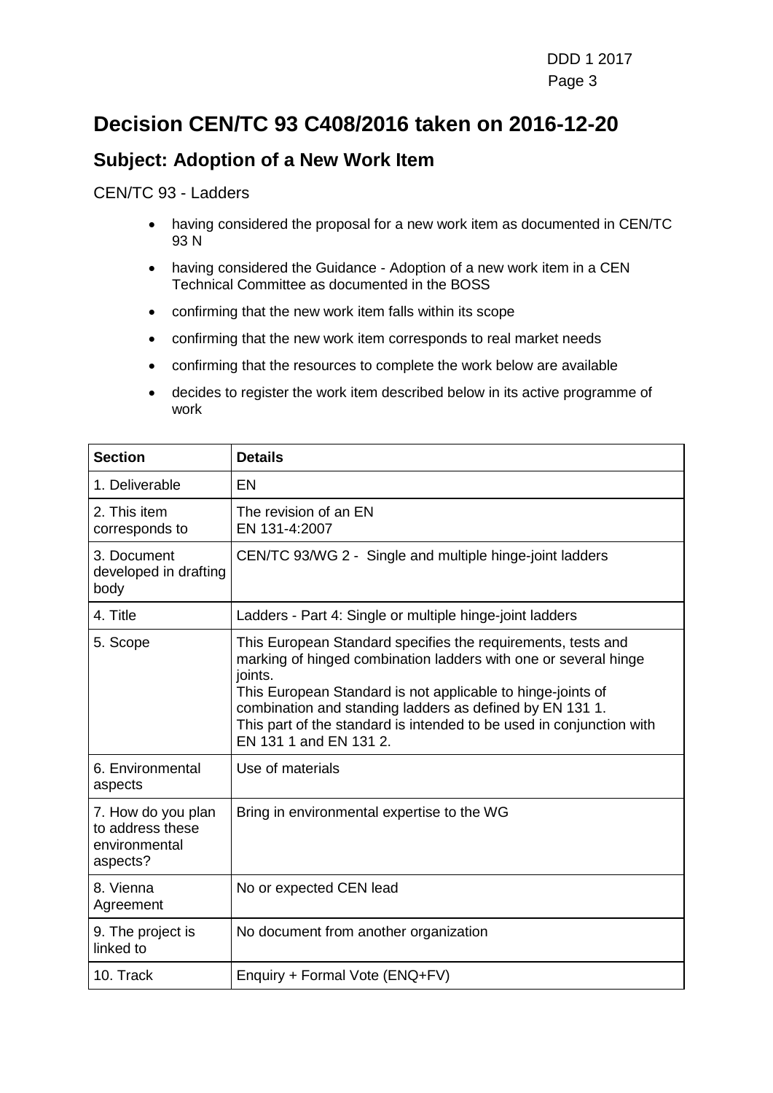## **Decision CEN/TC 93 C408/2016 taken on 2016-12-20**

### **Subject: Adoption of a New Work Item**

#### CEN/TC 93 - Ladders

- having considered the proposal for a new work item as documented in CEN/TC 93 N
- having considered the Guidance Adoption of a new work item in a CEN Technical Committee as documented in the BOSS
- confirming that the new work item falls within its scope
- confirming that the new work item corresponds to real market needs
- confirming that the resources to complete the work below are available
- decides to register the work item described below in its active programme of work

| <b>Section</b>                                                      | <b>Details</b>                                                                                                                                                                                                                                                                                                                                                          |
|---------------------------------------------------------------------|-------------------------------------------------------------------------------------------------------------------------------------------------------------------------------------------------------------------------------------------------------------------------------------------------------------------------------------------------------------------------|
| 1. Deliverable                                                      | EN                                                                                                                                                                                                                                                                                                                                                                      |
| 2. This item<br>corresponds to                                      | The revision of an EN<br>EN 131-4:2007                                                                                                                                                                                                                                                                                                                                  |
| 3. Document<br>developed in drafting<br>body                        | CEN/TC 93/WG 2 - Single and multiple hinge-joint ladders                                                                                                                                                                                                                                                                                                                |
| 4. Title                                                            | Ladders - Part 4: Single or multiple hinge-joint ladders                                                                                                                                                                                                                                                                                                                |
| 5. Scope                                                            | This European Standard specifies the requirements, tests and<br>marking of hinged combination ladders with one or several hinge<br>joints.<br>This European Standard is not applicable to hinge-joints of<br>combination and standing ladders as defined by EN 131 1.<br>This part of the standard is intended to be used in conjunction with<br>EN 131 1 and EN 131 2. |
| 6. Environmental<br>aspects                                         | Use of materials                                                                                                                                                                                                                                                                                                                                                        |
| 7. How do you plan<br>to address these<br>environmental<br>aspects? | Bring in environmental expertise to the WG                                                                                                                                                                                                                                                                                                                              |
| 8. Vienna<br>Agreement                                              | No or expected CEN lead                                                                                                                                                                                                                                                                                                                                                 |
| 9. The project is<br>linked to                                      | No document from another organization                                                                                                                                                                                                                                                                                                                                   |
| 10. Track                                                           | Enquiry + Formal Vote (ENQ+FV)                                                                                                                                                                                                                                                                                                                                          |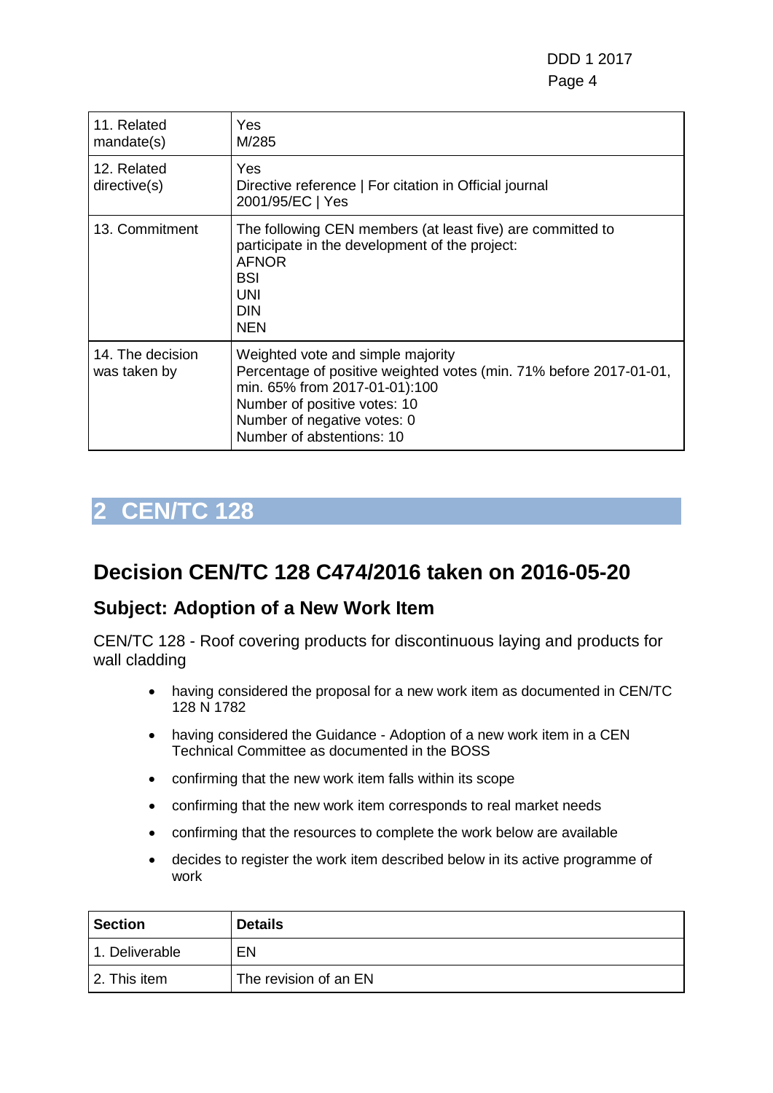DDD 1 2017 en de la provincia de la provincia de la provincia de la provincia de la provincia de la provincia de la provi

| 11. Related<br>mandate(s)        | Yes<br>M/285                                                                                                                                                                                                                         |
|----------------------------------|--------------------------------------------------------------------------------------------------------------------------------------------------------------------------------------------------------------------------------------|
| 12. Related<br>directive(s)      | Yes<br>Directive reference   For citation in Official journal<br>2001/95/EC   Yes                                                                                                                                                    |
| 13. Commitment                   | The following CEN members (at least five) are committed to<br>participate in the development of the project:<br><b>AFNOR</b><br><b>BSI</b><br><b>UNI</b><br><b>DIN</b><br><b>NEN</b>                                                 |
| 14. The decision<br>was taken by | Weighted vote and simple majority<br>Percentage of positive weighted votes (min. 71% before 2017-01-01,<br>min. 65% from 2017-01-01):100<br>Number of positive votes: 10<br>Number of negative votes: 0<br>Number of abstentions: 10 |

# <span id="page-3-0"></span>**2 CEN/TC 128**

## **Decision CEN/TC 128 C474/2016 taken on 2016-05-20**

#### **Subject: Adoption of a New Work Item**

CEN/TC 128 - Roof covering products for discontinuous laying and products for wall cladding

- having considered the proposal for a new work item as documented in CEN/TC 128 N 1782
- having considered the Guidance Adoption of a new work item in a CEN Technical Committee as documented in the BOSS
- confirming that the new work item falls within its scope
- confirming that the new work item corresponds to real market needs
- confirming that the resources to complete the work below are available
- decides to register the work item described below in its active programme of work

| <b>Section</b> | <b>Details</b>        |
|----------------|-----------------------|
| 1. Deliverable | EN                    |
| 2. This item   | The revision of an EN |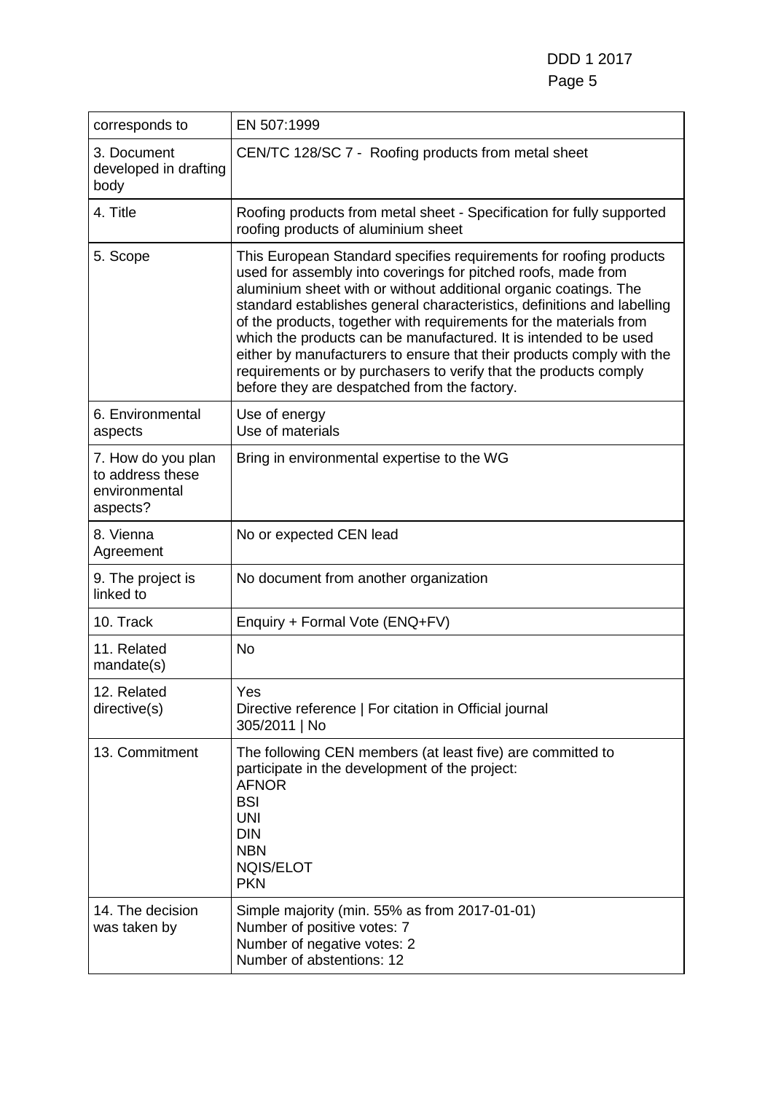DDD 1 2017 Page 5

| corresponds to                                                      | EN 507:1999                                                                                                                                                                                                                                                                                                                                                                                                                                                                                                                                                                                                                |
|---------------------------------------------------------------------|----------------------------------------------------------------------------------------------------------------------------------------------------------------------------------------------------------------------------------------------------------------------------------------------------------------------------------------------------------------------------------------------------------------------------------------------------------------------------------------------------------------------------------------------------------------------------------------------------------------------------|
| 3. Document<br>developed in drafting<br>body                        | CEN/TC 128/SC 7 - Roofing products from metal sheet                                                                                                                                                                                                                                                                                                                                                                                                                                                                                                                                                                        |
| 4. Title                                                            | Roofing products from metal sheet - Specification for fully supported<br>roofing products of aluminium sheet                                                                                                                                                                                                                                                                                                                                                                                                                                                                                                               |
| 5. Scope                                                            | This European Standard specifies requirements for roofing products<br>used for assembly into coverings for pitched roofs, made from<br>aluminium sheet with or without additional organic coatings. The<br>standard establishes general characteristics, definitions and labelling<br>of the products, together with requirements for the materials from<br>which the products can be manufactured. It is intended to be used<br>either by manufacturers to ensure that their products comply with the<br>requirements or by purchasers to verify that the products comply<br>before they are despatched from the factory. |
| 6. Environmental<br>aspects                                         | Use of energy<br>Use of materials                                                                                                                                                                                                                                                                                                                                                                                                                                                                                                                                                                                          |
| 7. How do you plan<br>to address these<br>environmental<br>aspects? | Bring in environmental expertise to the WG                                                                                                                                                                                                                                                                                                                                                                                                                                                                                                                                                                                 |
| 8. Vienna<br>Agreement                                              | No or expected CEN lead                                                                                                                                                                                                                                                                                                                                                                                                                                                                                                                                                                                                    |
| 9. The project is<br>linked to                                      | No document from another organization                                                                                                                                                                                                                                                                                                                                                                                                                                                                                                                                                                                      |
| 10. Track                                                           | Enquiry + Formal Vote (ENQ+FV)                                                                                                                                                                                                                                                                                                                                                                                                                                                                                                                                                                                             |
| 11. Related<br>mandate(s)                                           | <b>No</b>                                                                                                                                                                                                                                                                                                                                                                                                                                                                                                                                                                                                                  |
| 12. Related<br>directive(s)                                         | Yes<br>Directive reference   For citation in Official journal<br>305/2011   No                                                                                                                                                                                                                                                                                                                                                                                                                                                                                                                                             |
| 13. Commitment                                                      | The following CEN members (at least five) are committed to<br>participate in the development of the project:<br><b>AFNOR</b><br><b>BSI</b><br><b>UNI</b><br><b>DIN</b><br><b>NBN</b><br>NQIS/ELOT<br><b>PKN</b>                                                                                                                                                                                                                                                                                                                                                                                                            |
| 14. The decision<br>was taken by                                    | Simple majority (min. 55% as from 2017-01-01)<br>Number of positive votes: 7<br>Number of negative votes: 2<br>Number of abstentions: 12                                                                                                                                                                                                                                                                                                                                                                                                                                                                                   |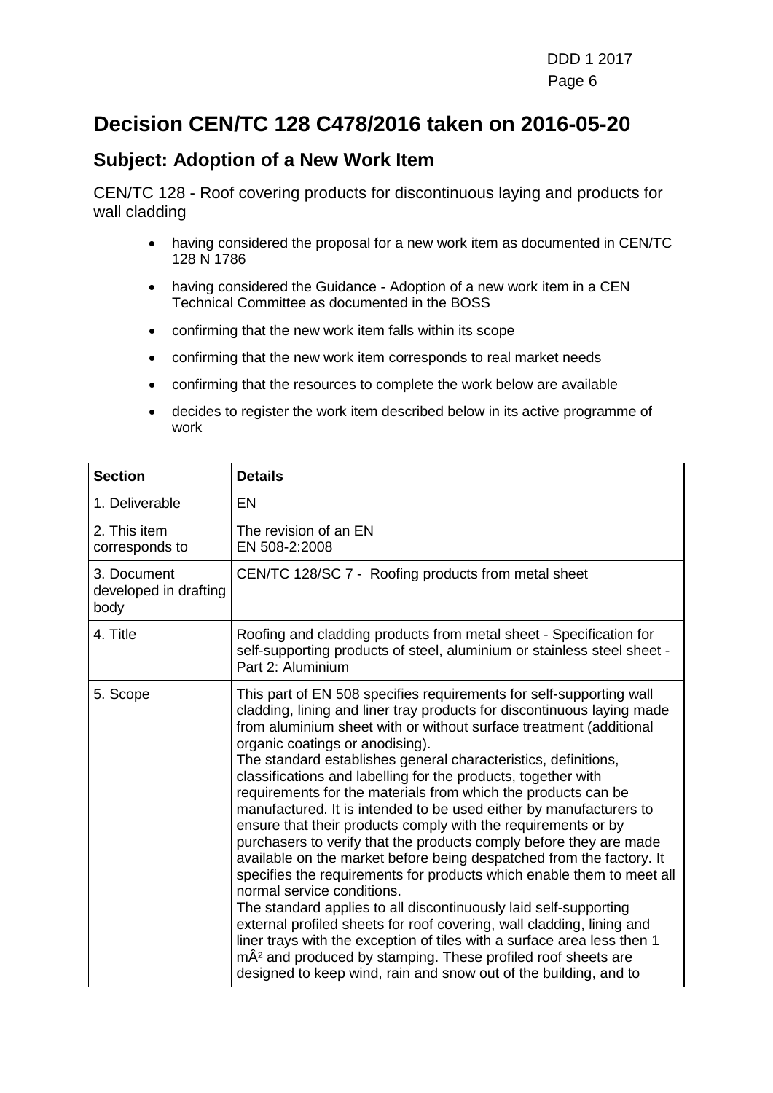## **Decision CEN/TC 128 C478/2016 taken on 2016-05-20**

#### **Subject: Adoption of a New Work Item**

CEN/TC 128 - Roof covering products for discontinuous laying and products for wall cladding

- having considered the proposal for a new work item as documented in CEN/TC 128 N 1786
- having considered the Guidance Adoption of a new work item in a CEN Technical Committee as documented in the BOSS
- confirming that the new work item falls within its scope
- confirming that the new work item corresponds to real market needs
- confirming that the resources to complete the work below are available
- decides to register the work item described below in its active programme of work

| <b>Section</b>                               | <b>Details</b>                                                                                                                                                                                                                                                                                                                                                                                                                                                                                                                                                                                                                                                                                                                                                                                                                                                                                                                                                                                                                                                                                                                                                                                                                 |
|----------------------------------------------|--------------------------------------------------------------------------------------------------------------------------------------------------------------------------------------------------------------------------------------------------------------------------------------------------------------------------------------------------------------------------------------------------------------------------------------------------------------------------------------------------------------------------------------------------------------------------------------------------------------------------------------------------------------------------------------------------------------------------------------------------------------------------------------------------------------------------------------------------------------------------------------------------------------------------------------------------------------------------------------------------------------------------------------------------------------------------------------------------------------------------------------------------------------------------------------------------------------------------------|
| 1. Deliverable                               | <b>EN</b>                                                                                                                                                                                                                                                                                                                                                                                                                                                                                                                                                                                                                                                                                                                                                                                                                                                                                                                                                                                                                                                                                                                                                                                                                      |
| 2. This item<br>corresponds to               | The revision of an EN<br>EN 508-2:2008                                                                                                                                                                                                                                                                                                                                                                                                                                                                                                                                                                                                                                                                                                                                                                                                                                                                                                                                                                                                                                                                                                                                                                                         |
| 3. Document<br>developed in drafting<br>body | CEN/TC 128/SC 7 - Roofing products from metal sheet                                                                                                                                                                                                                                                                                                                                                                                                                                                                                                                                                                                                                                                                                                                                                                                                                                                                                                                                                                                                                                                                                                                                                                            |
| 4. Title                                     | Roofing and cladding products from metal sheet - Specification for<br>self-supporting products of steel, aluminium or stainless steel sheet -<br>Part 2: Aluminium                                                                                                                                                                                                                                                                                                                                                                                                                                                                                                                                                                                                                                                                                                                                                                                                                                                                                                                                                                                                                                                             |
| 5. Scope                                     | This part of EN 508 specifies requirements for self-supporting wall<br>cladding, lining and liner tray products for discontinuous laying made<br>from aluminium sheet with or without surface treatment (additional<br>organic coatings or anodising).<br>The standard establishes general characteristics, definitions,<br>classifications and labelling for the products, together with<br>requirements for the materials from which the products can be<br>manufactured. It is intended to be used either by manufacturers to<br>ensure that their products comply with the requirements or by<br>purchasers to verify that the products comply before they are made<br>available on the market before being despatched from the factory. It<br>specifies the requirements for products which enable them to meet all<br>normal service conditions.<br>The standard applies to all discontinuously laid self-supporting<br>external profiled sheets for roof covering, wall cladding, lining and<br>liner trays with the exception of tiles with a surface area less then 1<br>mÂ <sup>2</sup> and produced by stamping. These profiled roof sheets are<br>designed to keep wind, rain and snow out of the building, and to |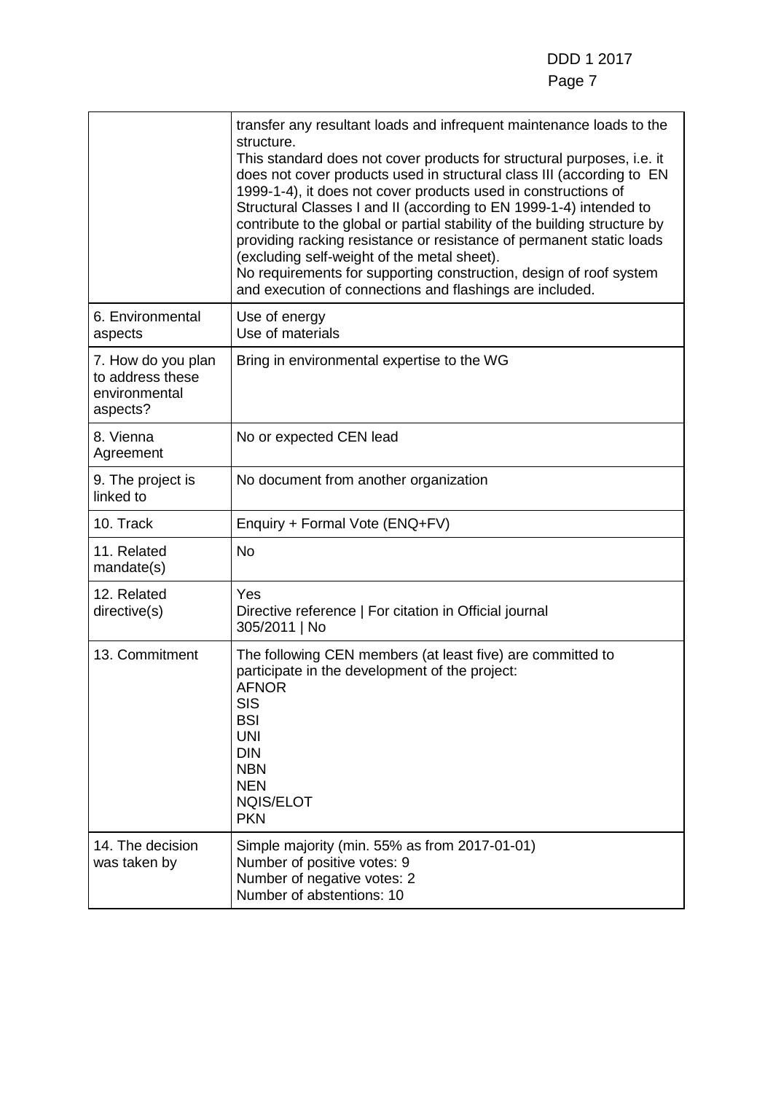|                                                                     | transfer any resultant loads and infrequent maintenance loads to the<br>structure.<br>This standard does not cover products for structural purposes, i.e. it<br>does not cover products used in structural class III (according to EN<br>1999-1-4), it does not cover products used in constructions of<br>Structural Classes I and II (according to EN 1999-1-4) intended to<br>contribute to the global or partial stability of the building structure by<br>providing racking resistance or resistance of permanent static loads<br>(excluding self-weight of the metal sheet).<br>No requirements for supporting construction, design of roof system<br>and execution of connections and flashings are included. |
|---------------------------------------------------------------------|----------------------------------------------------------------------------------------------------------------------------------------------------------------------------------------------------------------------------------------------------------------------------------------------------------------------------------------------------------------------------------------------------------------------------------------------------------------------------------------------------------------------------------------------------------------------------------------------------------------------------------------------------------------------------------------------------------------------|
| 6. Environmental<br>aspects                                         | Use of energy<br>Use of materials                                                                                                                                                                                                                                                                                                                                                                                                                                                                                                                                                                                                                                                                                    |
| 7. How do you plan<br>to address these<br>environmental<br>aspects? | Bring in environmental expertise to the WG                                                                                                                                                                                                                                                                                                                                                                                                                                                                                                                                                                                                                                                                           |
| 8. Vienna<br>Agreement                                              | No or expected CEN lead                                                                                                                                                                                                                                                                                                                                                                                                                                                                                                                                                                                                                                                                                              |
| 9. The project is<br>linked to                                      | No document from another organization                                                                                                                                                                                                                                                                                                                                                                                                                                                                                                                                                                                                                                                                                |
| 10. Track                                                           | Enquiry + Formal Vote (ENQ+FV)                                                                                                                                                                                                                                                                                                                                                                                                                                                                                                                                                                                                                                                                                       |
| 11. Related<br>mandate(s)                                           | <b>No</b>                                                                                                                                                                                                                                                                                                                                                                                                                                                                                                                                                                                                                                                                                                            |
| 12. Related<br>directive(s)                                         | Yes<br>Directive reference   For citation in Official journal<br>305/2011   No                                                                                                                                                                                                                                                                                                                                                                                                                                                                                                                                                                                                                                       |
| 13. Commitment                                                      | The following CEN members (at least five) are committed to<br>participate in the development of the project:<br><b>AFNOR</b><br><b>SIS</b><br><b>BSI</b><br><b>UNI</b><br><b>DIN</b><br><b>NBN</b><br><b>NEN</b><br><b>NQIS/ELOT</b><br><b>PKN</b>                                                                                                                                                                                                                                                                                                                                                                                                                                                                   |
| 14. The decision<br>was taken by                                    | Simple majority (min. 55% as from 2017-01-01)<br>Number of positive votes: 9<br>Number of negative votes: 2<br>Number of abstentions: 10                                                                                                                                                                                                                                                                                                                                                                                                                                                                                                                                                                             |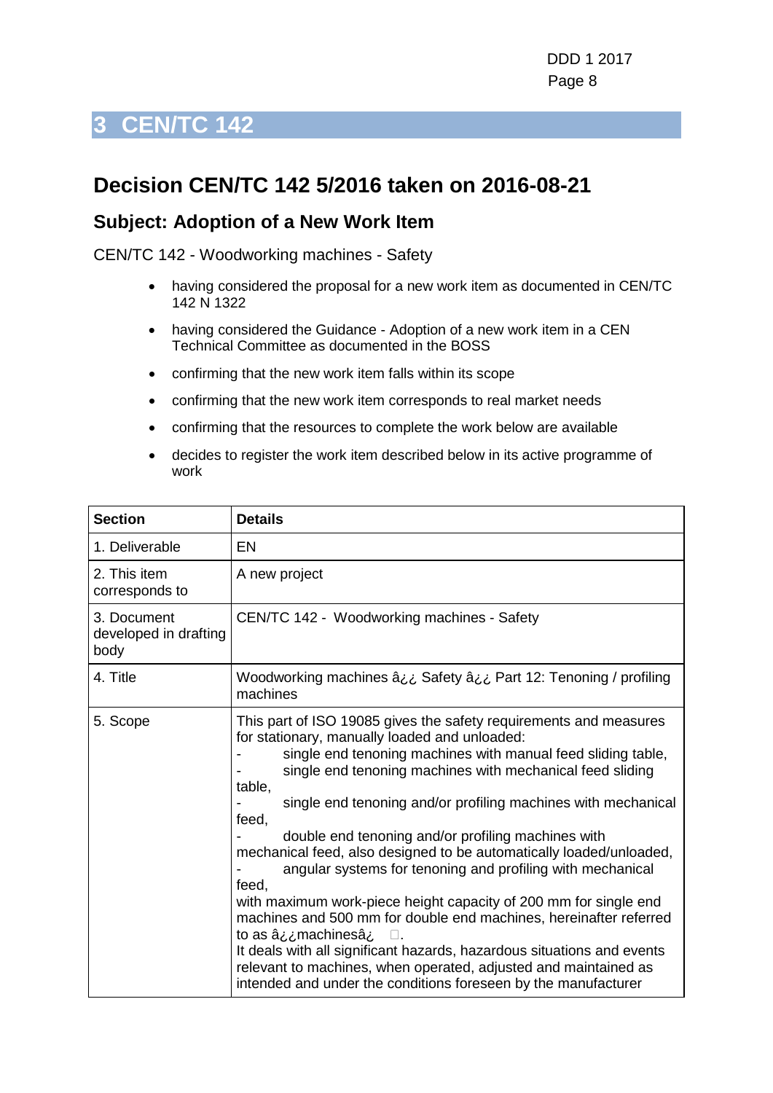## <span id="page-7-0"></span>**Decision CEN/TC 142 5/2016 taken on 2016-08-21**

#### **Subject: Adoption of a New Work Item**

CEN/TC 142 - Woodworking machines - Safety

- having considered the proposal for a new work item as documented in CEN/TC 142 N 1322
- having considered the Guidance Adoption of a new work item in a CEN Technical Committee as documented in the BOSS
- confirming that the new work item falls within its scope
- confirming that the new work item corresponds to real market needs
- confirming that the resources to complete the work below are available
- decides to register the work item described below in its active programme of work

| <b>Section</b>                               | <b>Details</b>                                                                                                                                                                                                                                                                                                                                                                                                                                                                                                                                                                                                                                                                                                                                                                                                                                                                                                               |
|----------------------------------------------|------------------------------------------------------------------------------------------------------------------------------------------------------------------------------------------------------------------------------------------------------------------------------------------------------------------------------------------------------------------------------------------------------------------------------------------------------------------------------------------------------------------------------------------------------------------------------------------------------------------------------------------------------------------------------------------------------------------------------------------------------------------------------------------------------------------------------------------------------------------------------------------------------------------------------|
| 1. Deliverable                               | EN                                                                                                                                                                                                                                                                                                                                                                                                                                                                                                                                                                                                                                                                                                                                                                                                                                                                                                                           |
| 2. This item<br>corresponds to               | A new project                                                                                                                                                                                                                                                                                                                                                                                                                                                                                                                                                                                                                                                                                                                                                                                                                                                                                                                |
| 3. Document<br>developed in drafting<br>body | CEN/TC 142 - Woodworking machines - Safety                                                                                                                                                                                                                                                                                                                                                                                                                                                                                                                                                                                                                                                                                                                                                                                                                                                                                   |
| 4. Title                                     | Woodworking machines â ¿¿ Safety â ¿¿ Part 12: Tenoning / profiling<br>machines                                                                                                                                                                                                                                                                                                                                                                                                                                                                                                                                                                                                                                                                                                                                                                                                                                              |
| 5. Scope                                     | This part of ISO 19085 gives the safety requirements and measures<br>for stationary, manually loaded and unloaded:<br>single end tenoning machines with manual feed sliding table,<br>single end tenoning machines with mechanical feed sliding<br>table,<br>single end tenoning and/or profiling machines with mechanical<br>feed,<br>double end tenoning and/or profiling machines with<br>mechanical feed, also designed to be automatically loaded/unloaded,<br>angular systems for tenoning and profiling with mechanical<br>feed,<br>with maximum work-piece height capacity of 200 mm for single end<br>machines and 500 mm for double end machines, hereinafter referred<br>to as â¿¿machinesâ¿<br>П.<br>It deals with all significant hazards, hazardous situations and events<br>relevant to machines, when operated, adjusted and maintained as<br>intended and under the conditions foreseen by the manufacturer |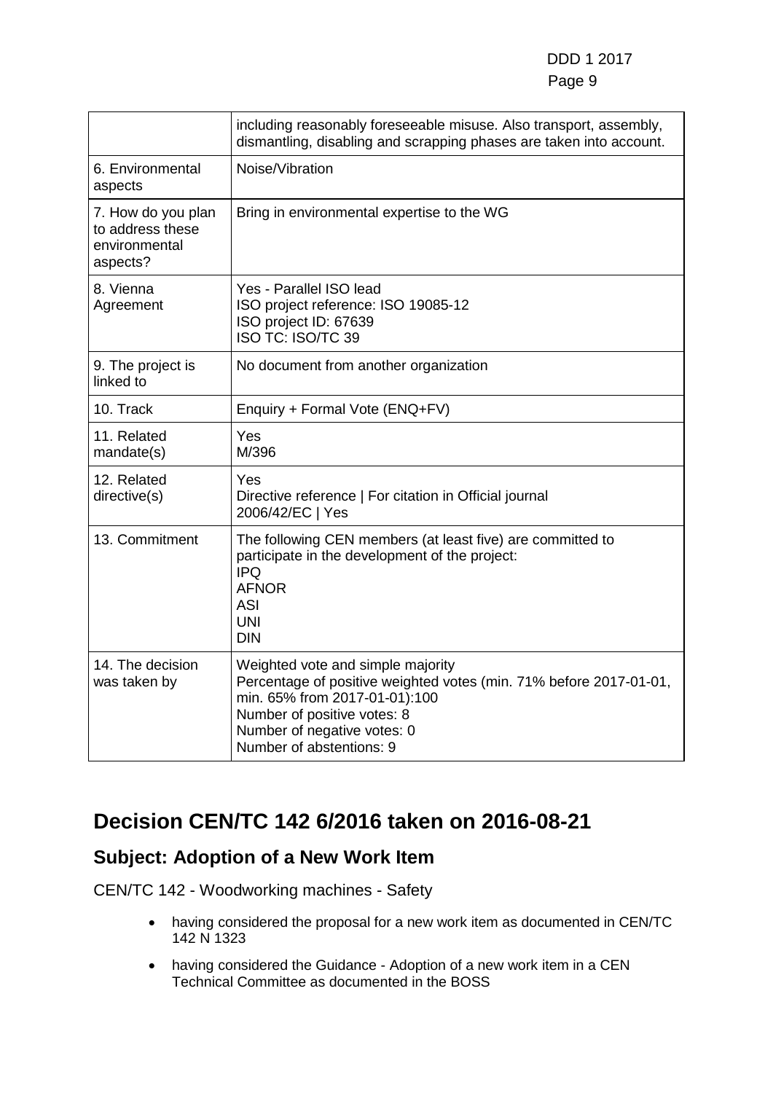#### DDD 1 2017 e de la provincia de la provincia de la provincia de la provincia de la provincia de la provincia de la provinci

|                                                                     | including reasonably foreseeable misuse. Also transport, assembly,<br>dismantling, disabling and scrapping phases are taken into account.                                                                                          |
|---------------------------------------------------------------------|------------------------------------------------------------------------------------------------------------------------------------------------------------------------------------------------------------------------------------|
| 6. Environmental<br>aspects                                         | Noise/Vibration                                                                                                                                                                                                                    |
| 7. How do you plan<br>to address these<br>environmental<br>aspects? | Bring in environmental expertise to the WG                                                                                                                                                                                         |
| 8. Vienna<br>Agreement                                              | Yes - Parallel ISO lead<br>ISO project reference: ISO 19085-12<br>ISO project ID: 67639<br>ISO TC: ISO/TC 39                                                                                                                       |
| 9. The project is<br>linked to                                      | No document from another organization                                                                                                                                                                                              |
| 10. Track                                                           | Enquiry + Formal Vote (ENQ+FV)                                                                                                                                                                                                     |
| 11. Related<br>mandate(s)                                           | Yes<br>M/396                                                                                                                                                                                                                       |
| 12. Related<br>directive(s)                                         | Yes<br>Directive reference   For citation in Official journal<br>2006/42/EC   Yes                                                                                                                                                  |
| 13. Commitment                                                      | The following CEN members (at least five) are committed to<br>participate in the development of the project:<br><b>IPQ</b><br><b>AFNOR</b><br><b>ASI</b><br><b>UNI</b><br>DIN                                                      |
| 14. The decision<br>was taken by                                    | Weighted vote and simple majority<br>Percentage of positive weighted votes (min. 71% before 2017-01-01,<br>min. 65% from 2017-01-01):100<br>Number of positive votes: 8<br>Number of negative votes: 0<br>Number of abstentions: 9 |

## **Decision CEN/TC 142 6/2016 taken on 2016-08-21**

#### **Subject: Adoption of a New Work Item**

CEN/TC 142 - Woodworking machines - Safety

- having considered the proposal for a new work item as documented in CEN/TC 142 N 1323
- having considered the Guidance Adoption of a new work item in a CEN Technical Committee as documented in the BOSS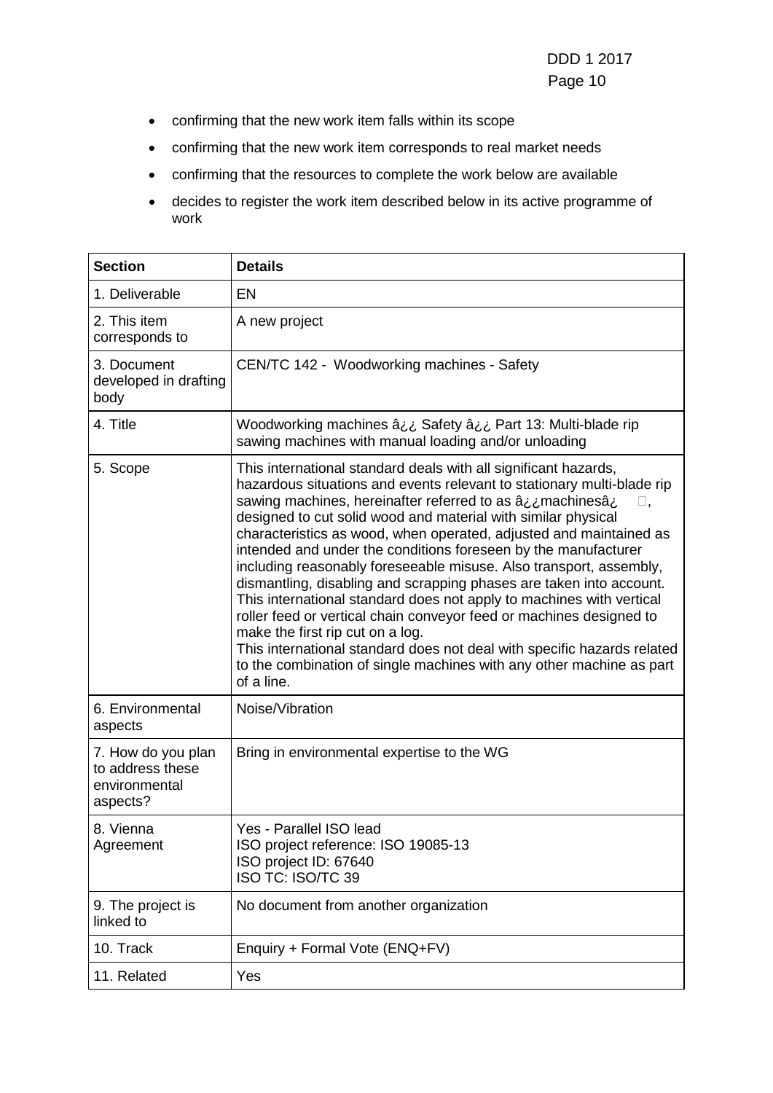- confirming that the new work item falls within its scope
- confirming that the new work item corresponds to real market needs
- confirming that the resources to complete the work below are available
- decides to register the work item described below in its active programme of work

| <b>Section</b>                                                      | <b>Details</b>                                                                                                                                                                                                                                                                                                                                                                                                                                                                                                                                                                                                                                                                                                                                                                                                                                                                                                                             |
|---------------------------------------------------------------------|--------------------------------------------------------------------------------------------------------------------------------------------------------------------------------------------------------------------------------------------------------------------------------------------------------------------------------------------------------------------------------------------------------------------------------------------------------------------------------------------------------------------------------------------------------------------------------------------------------------------------------------------------------------------------------------------------------------------------------------------------------------------------------------------------------------------------------------------------------------------------------------------------------------------------------------------|
| 1. Deliverable                                                      | EN                                                                                                                                                                                                                                                                                                                                                                                                                                                                                                                                                                                                                                                                                                                                                                                                                                                                                                                                         |
| 2. This item<br>corresponds to                                      | A new project                                                                                                                                                                                                                                                                                                                                                                                                                                                                                                                                                                                                                                                                                                                                                                                                                                                                                                                              |
| 3. Document<br>developed in drafting<br>body                        | CEN/TC 142 - Woodworking machines - Safety                                                                                                                                                                                                                                                                                                                                                                                                                                                                                                                                                                                                                                                                                                                                                                                                                                                                                                 |
| 4. Title                                                            | Woodworking machines â¿¿ Safety â¿¿ Part 13: Multi-blade rip<br>sawing machines with manual loading and/or unloading                                                                                                                                                                                                                                                                                                                                                                                                                                                                                                                                                                                                                                                                                                                                                                                                                       |
| 5. Scope                                                            | This international standard deals with all significant hazards,<br>hazardous situations and events relevant to stationary multi-blade rip<br>sawing machines, hereinafter referred to as $a_{i}$ machines $a_{i}$<br>$\square$ ,<br>designed to cut solid wood and material with similar physical<br>characteristics as wood, when operated, adjusted and maintained as<br>intended and under the conditions foreseen by the manufacturer<br>including reasonably foreseeable misuse. Also transport, assembly,<br>dismantling, disabling and scrapping phases are taken into account.<br>This international standard does not apply to machines with vertical<br>roller feed or vertical chain conveyor feed or machines designed to<br>make the first rip cut on a log.<br>This international standard does not deal with specific hazards related<br>to the combination of single machines with any other machine as part<br>of a line. |
| 6. Environmental<br>aspects                                         | Noise/Vibration                                                                                                                                                                                                                                                                                                                                                                                                                                                                                                                                                                                                                                                                                                                                                                                                                                                                                                                            |
| 7. How do you plan<br>to address these<br>environmental<br>aspects? | Bring in environmental expertise to the WG                                                                                                                                                                                                                                                                                                                                                                                                                                                                                                                                                                                                                                                                                                                                                                                                                                                                                                 |
| 8. Vienna<br>Agreement                                              | Yes - Parallel ISO lead<br>ISO project reference: ISO 19085-13<br>ISO project ID: 67640<br>ISO TC: ISO/TC 39                                                                                                                                                                                                                                                                                                                                                                                                                                                                                                                                                                                                                                                                                                                                                                                                                               |
| 9. The project is<br>linked to                                      | No document from another organization                                                                                                                                                                                                                                                                                                                                                                                                                                                                                                                                                                                                                                                                                                                                                                                                                                                                                                      |
| 10. Track                                                           | Enquiry + Formal Vote (ENQ+FV)                                                                                                                                                                                                                                                                                                                                                                                                                                                                                                                                                                                                                                                                                                                                                                                                                                                                                                             |
| 11. Related                                                         | Yes                                                                                                                                                                                                                                                                                                                                                                                                                                                                                                                                                                                                                                                                                                                                                                                                                                                                                                                                        |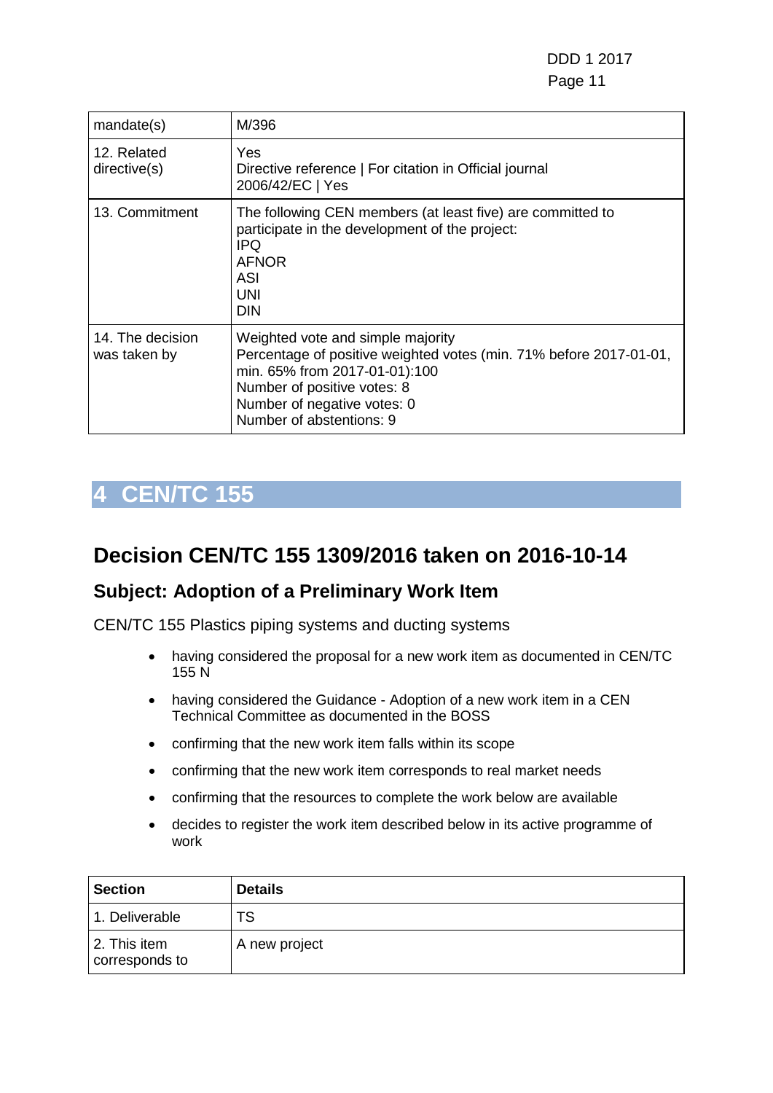| mandate(s)                       | M/396                                                                                                                                                                                                                              |
|----------------------------------|------------------------------------------------------------------------------------------------------------------------------------------------------------------------------------------------------------------------------------|
| 12. Related<br>directive(s)      | Yes<br>Directive reference   For citation in Official journal<br>2006/42/EC   Yes                                                                                                                                                  |
| 13. Commitment                   | The following CEN members (at least five) are committed to<br>participate in the development of the project:<br><b>IPQ</b><br><b>AFNOR</b><br>ASI<br>UNI<br><b>DIN</b>                                                             |
| 14. The decision<br>was taken by | Weighted vote and simple majority<br>Percentage of positive weighted votes (min. 71% before 2017-01-01,<br>min. 65% from 2017-01-01):100<br>Number of positive votes: 8<br>Number of negative votes: 0<br>Number of abstentions: 9 |

## <span id="page-10-0"></span>**Decision CEN/TC 155 1309/2016 taken on 2016-10-14**

### **Subject: Adoption of a Preliminary Work Item**

CEN/TC 155 Plastics piping systems and ducting systems

- having considered the proposal for a new work item as documented in CEN/TC 155 N
- having considered the Guidance Adoption of a new work item in a CEN Technical Committee as documented in the BOSS
- confirming that the new work item falls within its scope
- confirming that the new work item corresponds to real market needs
- confirming that the resources to complete the work below are available
- decides to register the work item described below in its active programme of work

| <b>Section</b>                 | <b>Details</b> |
|--------------------------------|----------------|
| 1. Deliverable                 | TS             |
| 2. This item<br>corresponds to | A new project  |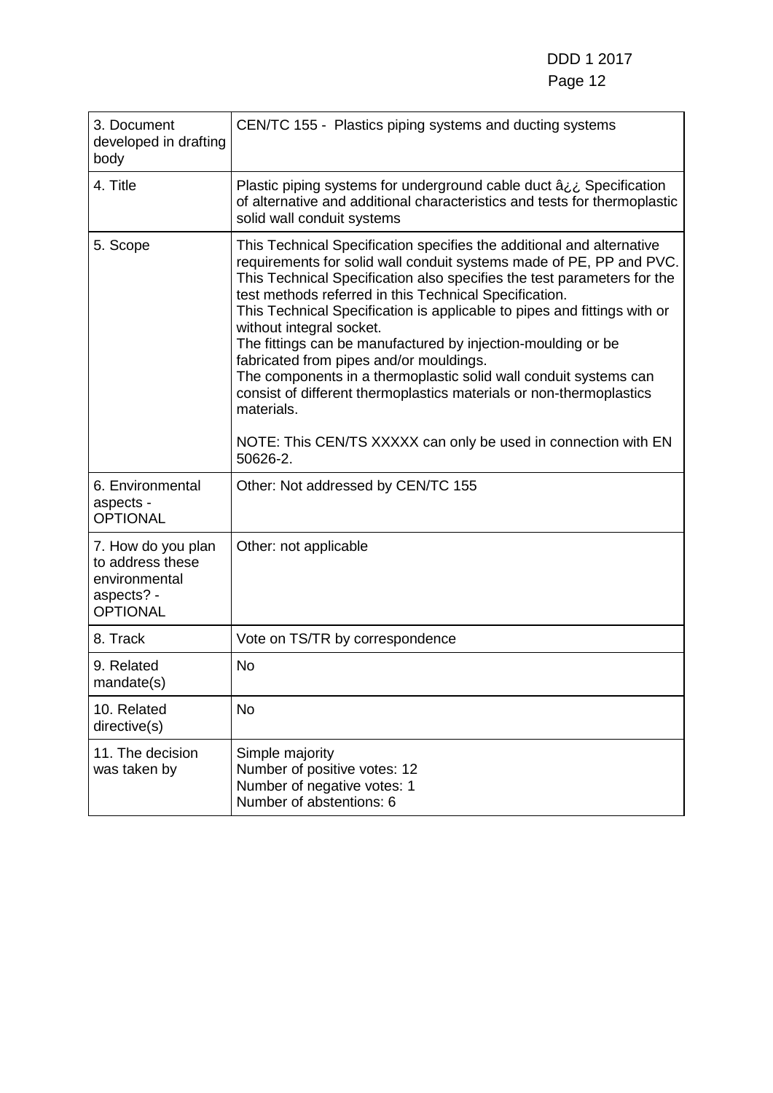| 3. Document<br>developed in drafting<br>body                                             | CEN/TC 155 - Plastics piping systems and ducting systems                                                                                                                                                                                                                                                                                                                                                                                                                                                                                                                                                                                                                                                                                    |
|------------------------------------------------------------------------------------------|---------------------------------------------------------------------------------------------------------------------------------------------------------------------------------------------------------------------------------------------------------------------------------------------------------------------------------------------------------------------------------------------------------------------------------------------------------------------------------------------------------------------------------------------------------------------------------------------------------------------------------------------------------------------------------------------------------------------------------------------|
| 4. Title                                                                                 | Plastic piping systems for underground cable duct âij Specification<br>of alternative and additional characteristics and tests for thermoplastic<br>solid wall conduit systems                                                                                                                                                                                                                                                                                                                                                                                                                                                                                                                                                              |
| 5. Scope                                                                                 | This Technical Specification specifies the additional and alternative<br>requirements for solid wall conduit systems made of PE, PP and PVC.<br>This Technical Specification also specifies the test parameters for the<br>test methods referred in this Technical Specification.<br>This Technical Specification is applicable to pipes and fittings with or<br>without integral socket.<br>The fittings can be manufactured by injection-moulding or be<br>fabricated from pipes and/or mouldings.<br>The components in a thermoplastic solid wall conduit systems can<br>consist of different thermoplastics materials or non-thermoplastics<br>materials.<br>NOTE: This CEN/TS XXXXX can only be used in connection with EN<br>50626-2. |
| 6. Environmental<br>aspects -<br><b>OPTIONAL</b>                                         | Other: Not addressed by CEN/TC 155                                                                                                                                                                                                                                                                                                                                                                                                                                                                                                                                                                                                                                                                                                          |
| 7. How do you plan<br>to address these<br>environmental<br>aspects? -<br><b>OPTIONAL</b> | Other: not applicable                                                                                                                                                                                                                                                                                                                                                                                                                                                                                                                                                                                                                                                                                                                       |
| 8. Track                                                                                 | Vote on TS/TR by correspondence                                                                                                                                                                                                                                                                                                                                                                                                                                                                                                                                                                                                                                                                                                             |
| 9. Related<br>mandate(s)                                                                 | <b>No</b>                                                                                                                                                                                                                                                                                                                                                                                                                                                                                                                                                                                                                                                                                                                                   |
| 10. Related<br>directive(s)                                                              | <b>No</b>                                                                                                                                                                                                                                                                                                                                                                                                                                                                                                                                                                                                                                                                                                                                   |
| 11. The decision<br>was taken by                                                         | Simple majority<br>Number of positive votes: 12<br>Number of negative votes: 1<br>Number of abstentions: 6                                                                                                                                                                                                                                                                                                                                                                                                                                                                                                                                                                                                                                  |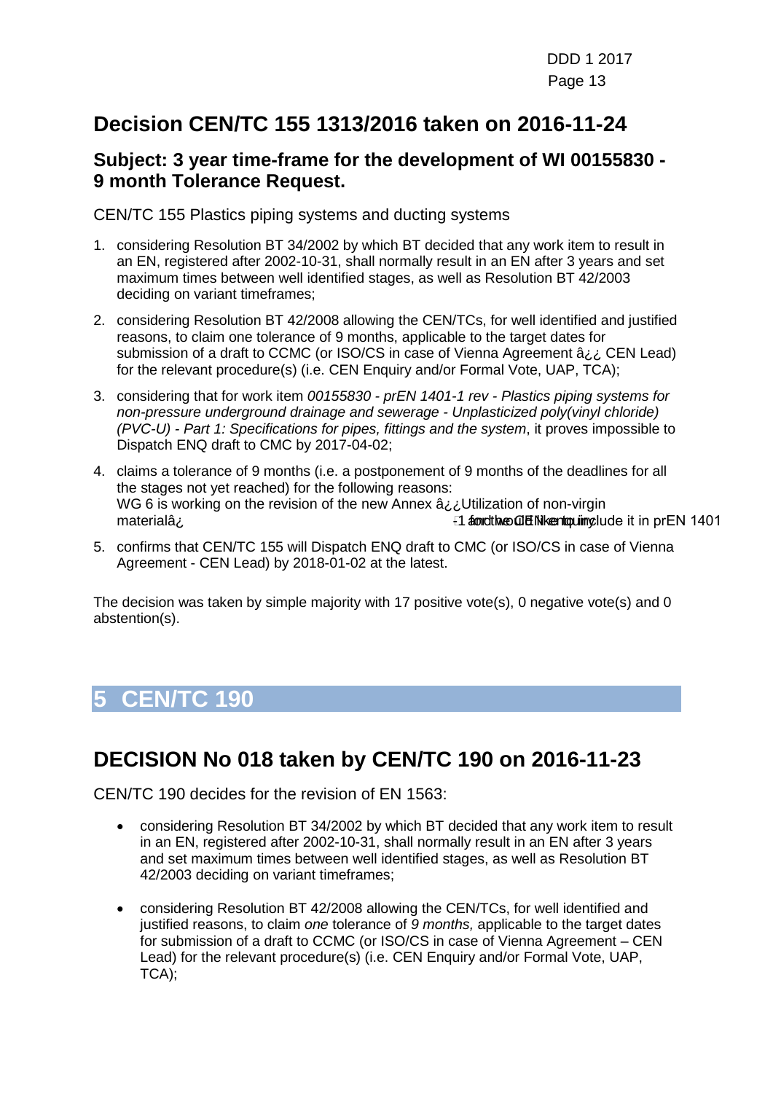## **Decision CEN/TC 155 1313/2016 taken on 2016-11-24**

#### **Subject: 3 year time-frame for the development of WI 00155830 - 9 month Tolerance Request.**

CEN/TC 155 Plastics piping systems and ducting systems

- 1. considering Resolution BT 34/2002 by which BT decided that any work item to result in an EN, registered after 2002-10-31, shall normally result in an EN after 3 years and set maximum times between well identified stages, as well as Resolution BT 42/2003 deciding on variant timeframes;
- 2. considering Resolution BT 42/2008 allowing the CEN/TCs, for well identified and justified reasons, to claim one tolerance of 9 months, applicable to the target dates for submission of a draft to CCMC (or ISO/CS in case of Vienna Agreement â¿¿ CEN Lead) for the relevant procedure(s) (i.e. CEN Enquiry and/or Formal Vote, UAP, TCA);
- 3. considering that for work item *00155830 - prEN 1401-1 rev - Plastics piping systems for non-pressure underground drainage and sewerage - Unplasticized poly(vinyl chloride) (PVC-U) - Part 1: Specifications for pipes, fittings and the system*, it proves impossible to Dispatch ENQ draft to CMC by 2017-04-02;
- 4. claims a tolerance of 9 months (i.e. a postponement of 9 months of the deadlines for all the stages not yet reached) for the following reasons: WG 6 is working on the revision of the new Annex  $a_{i,i}$ Utilization of non-virgin materialâ;  $\frac{1}{2}$  materialâ;  $\frac{1}{2}$  and the CEN 1401  $\frac{1}{2}$  for the CEN 1401  $\frac{1}{2}$  for the CEN 1401
- 5. confirms that CEN/TC 155 will Dispatch ENQ draft to CMC (or ISO/CS in case of Vienna Agreement - CEN Lead) by 2018-01-02 at the latest.

The decision was taken by simple majority with 17 positive vote(s), 0 negative vote(s) and 0 abstention(s).

# <span id="page-12-0"></span>**5 CEN/TC 190**

## **DECISION No 018 taken by CEN/TC 190 on 2016-11-23**

CEN/TC 190 decides for the revision of EN 1563:

- considering Resolution BT 34/2002 by which BT decided that any work item to result in an EN, registered after 2002-10-31, shall normally result in an EN after 3 years and set maximum times between well identified stages, as well as Resolution BT 42/2003 deciding on variant timeframes;
- considering Resolution BT 42/2008 allowing the CEN/TCs, for well identified and justified reasons, to claim *one* tolerance of *9 months,* applicable to the target dates for submission of a draft to CCMC (or ISO/CS in case of Vienna Agreement – CEN Lead) for the relevant procedure(s) (i.e. CEN Enquiry and/or Formal Vote, UAP, TCA);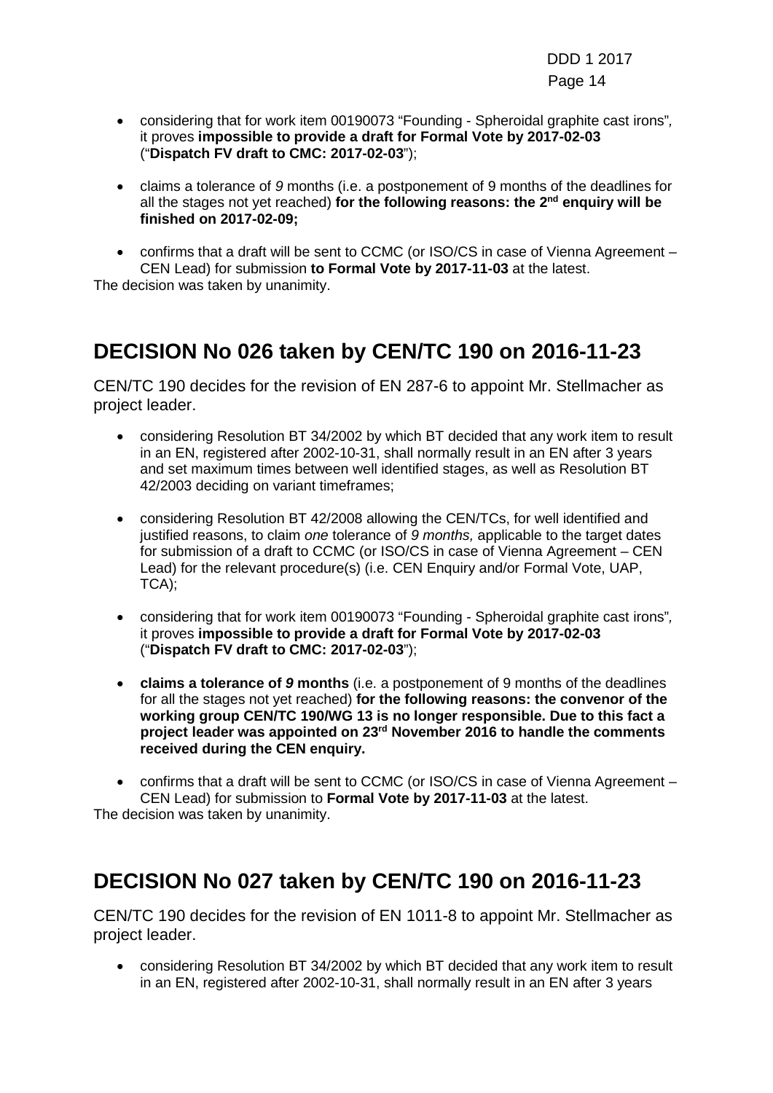- considering that for work item 00190073 "Founding Spheroidal graphite cast irons"*,*  it proves **impossible to provide a draft for Formal Vote by 2017-02-03** ("**Dispatch FV draft to CMC: 2017-02-03**");
- claims a tolerance of *9* months (i.e. a postponement of 9 months of the deadlines for all the stages not yet reached) **for the following reasons: the 2nd enquiry will be finished on 2017-02-09;**

• confirms that a draft will be sent to CCMC (or ISO/CS in case of Vienna Agreement – CEN Lead) for submission **to Formal Vote by 2017-11-03** at the latest.

The decision was taken by unanimity.

## **DECISION No 026 taken by CEN/TC 190 on 2016-11-23**

CEN/TC 190 decides for the revision of EN 287-6 to appoint Mr. Stellmacher as project leader.

- considering Resolution BT 34/2002 by which BT decided that any work item to result in an EN, registered after 2002-10-31, shall normally result in an EN after 3 years and set maximum times between well identified stages, as well as Resolution BT 42/2003 deciding on variant timeframes;
- considering Resolution BT 42/2008 allowing the CEN/TCs, for well identified and justified reasons, to claim *one* tolerance of *9 months,* applicable to the target dates for submission of a draft to CCMC (or ISO/CS in case of Vienna Agreement – CEN Lead) for the relevant procedure(s) (i.e. CEN Enquiry and/or Formal Vote, UAP, TCA);
- considering that for work item 00190073 "Founding Spheroidal graphite cast irons"*,*  it proves **impossible to provide a draft for Formal Vote by 2017-02-03** ("**Dispatch FV draft to CMC: 2017-02-03**");
- **claims a tolerance of** *9* **months** (i.e. a postponement of 9 months of the deadlines for all the stages not yet reached) **for the following reasons: the convenor of the working group CEN/TC 190/WG 13 is no longer responsible. Due to this fact a project leader was appointed on 23rd November 2016 to handle the comments received during the CEN enquiry.**

• confirms that a draft will be sent to CCMC (or ISO/CS in case of Vienna Agreement – CEN Lead) for submission to **Formal Vote by 2017-11-03** at the latest.

The decision was taken by unanimity.

## **DECISION No 027 taken by CEN/TC 190 on 2016-11-23**

CEN/TC 190 decides for the revision of EN 1011-8 to appoint Mr. Stellmacher as project leader.

• considering Resolution BT 34/2002 by which BT decided that any work item to result in an EN, registered after 2002-10-31, shall normally result in an EN after 3 years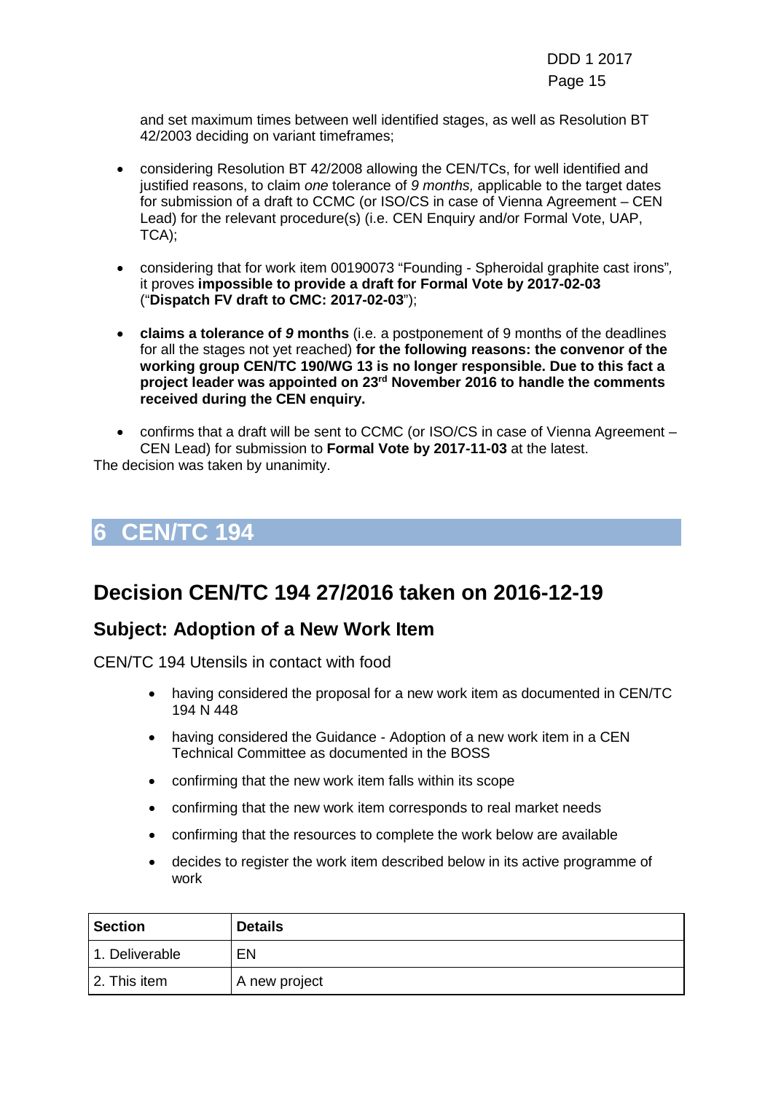and set maximum times between well identified stages, as well as Resolution BT 42/2003 deciding on variant timeframes;

- considering Resolution BT 42/2008 allowing the CEN/TCs, for well identified and justified reasons, to claim *one* tolerance of *9 months,* applicable to the target dates for submission of a draft to CCMC (or ISO/CS in case of Vienna Agreement – CEN Lead) for the relevant procedure(s) (i.e. CEN Enquiry and/or Formal Vote, UAP, TCA);
- considering that for work item 00190073 "Founding Spheroidal graphite cast irons"*,*  it proves **impossible to provide a draft for Formal Vote by 2017-02-03** ("**Dispatch FV draft to CMC: 2017-02-03**");
- **claims a tolerance of** *9* **months** (i.e. a postponement of 9 months of the deadlines for all the stages not yet reached) **for the following reasons: the convenor of the working group CEN/TC 190/WG 13 is no longer responsible. Due to this fact a project leader was appointed on 23rd November 2016 to handle the comments received during the CEN enquiry.**
- confirms that a draft will be sent to CCMC (or ISO/CS in case of Vienna Agreement CEN Lead) for submission to **Formal Vote by 2017-11-03** at the latest.

The decision was taken by unanimity.

## <span id="page-14-0"></span>**6 CEN/TC 194**

## **Decision CEN/TC 194 27/2016 taken on 2016-12-19**

#### **Subject: Adoption of a New Work Item**

CEN/TC 194 Utensils in contact with food

- having considered the proposal for a new work item as documented in CEN/TC 194 N 448
- having considered the Guidance Adoption of a new work item in a CEN Technical Committee as documented in the BOSS
- confirming that the new work item falls within its scope
- confirming that the new work item corresponds to real market needs
- confirming that the resources to complete the work below are available
- decides to register the work item described below in its active programme of work

| <b>Section</b> | <b>Details</b> |
|----------------|----------------|
| 1. Deliverable | EN             |
| 2. This item   | A new project  |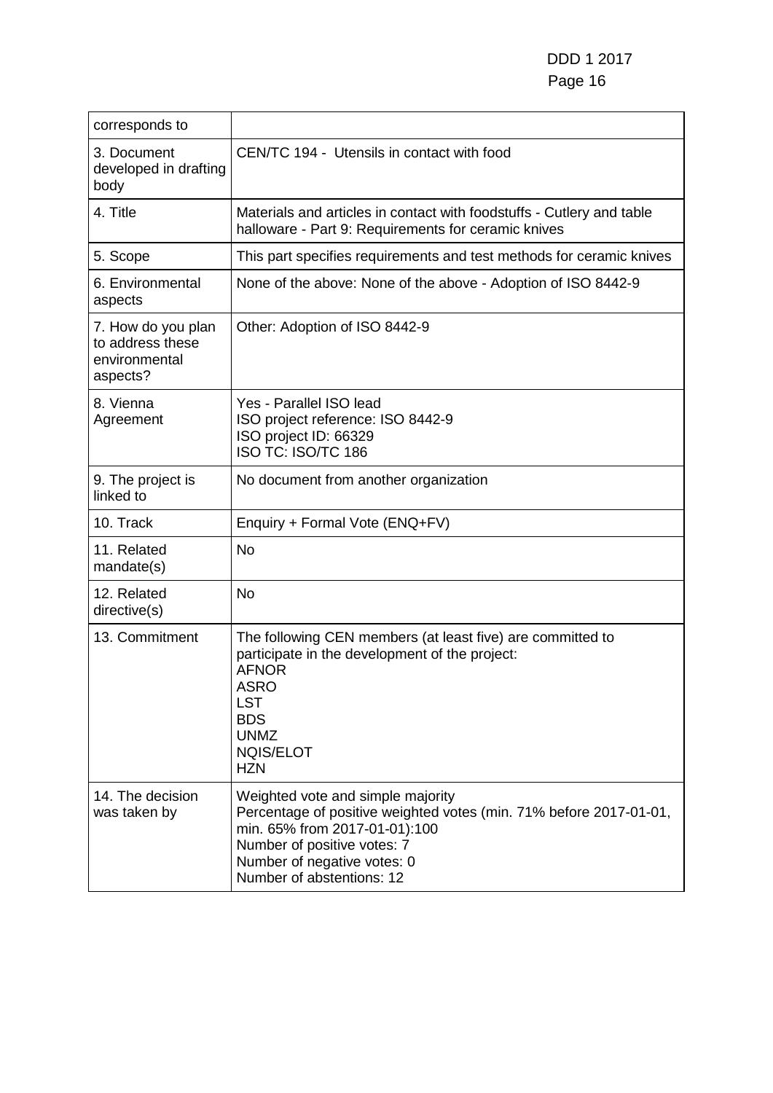| corresponds to                                                      |                                                                                                                                                                                                                                     |
|---------------------------------------------------------------------|-------------------------------------------------------------------------------------------------------------------------------------------------------------------------------------------------------------------------------------|
| 3. Document<br>developed in drafting<br>body                        | CEN/TC 194 - Utensils in contact with food                                                                                                                                                                                          |
| 4. Title                                                            | Materials and articles in contact with foodstuffs - Cutlery and table<br>halloware - Part 9: Requirements for ceramic knives                                                                                                        |
| 5. Scope                                                            | This part specifies requirements and test methods for ceramic knives                                                                                                                                                                |
| 6. Environmental<br>aspects                                         | None of the above: None of the above - Adoption of ISO 8442-9                                                                                                                                                                       |
| 7. How do you plan<br>to address these<br>environmental<br>aspects? | Other: Adoption of ISO 8442-9                                                                                                                                                                                                       |
| 8. Vienna<br>Agreement                                              | Yes - Parallel ISO lead<br>ISO project reference: ISO 8442-9<br>ISO project ID: 66329<br>ISO TC: ISO/TC 186                                                                                                                         |
| 9. The project is<br>linked to                                      | No document from another organization                                                                                                                                                                                               |
| 10. Track                                                           | Enquiry + Formal Vote (ENQ+FV)                                                                                                                                                                                                      |
| 11. Related<br>mandate(s)                                           | <b>No</b>                                                                                                                                                                                                                           |
| 12. Related<br>directive(s)                                         | <b>No</b>                                                                                                                                                                                                                           |
| 13. Commitment                                                      | The following CEN members (at least five) are committed to<br>participate in the development of the project:<br><b>AFNOR</b><br><b>ASRO</b><br><b>LST</b><br><b>BDS</b><br><b>UNMZ</b><br>NQIS/ELOT<br><b>HZN</b>                   |
| 14. The decision<br>was taken by                                    | Weighted vote and simple majority<br>Percentage of positive weighted votes (min. 71% before 2017-01-01,<br>min. 65% from 2017-01-01):100<br>Number of positive votes: 7<br>Number of negative votes: 0<br>Number of abstentions: 12 |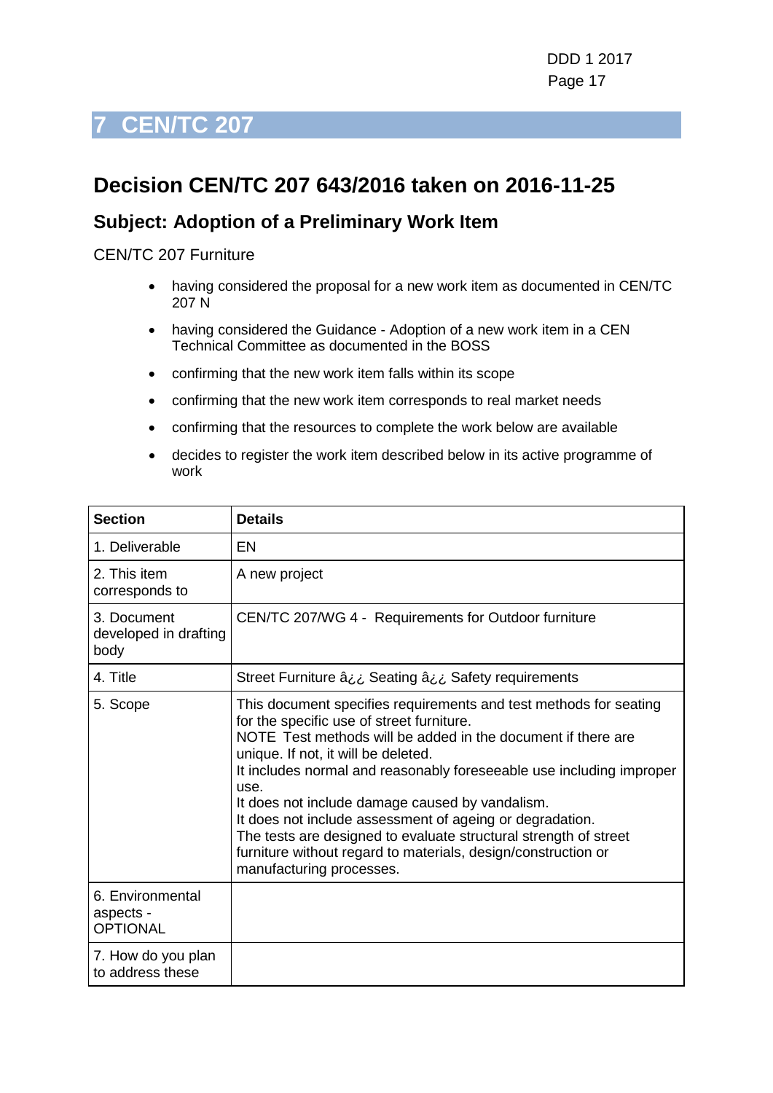## <span id="page-16-0"></span>**Decision CEN/TC 207 643/2016 taken on 2016-11-25**

### **Subject: Adoption of a Preliminary Work Item**

#### CEN/TC 207 Furniture

- having considered the proposal for a new work item as documented in CEN/TC 207 N
- having considered the Guidance Adoption of a new work item in a CEN Technical Committee as documented in the BOSS
- confirming that the new work item falls within its scope
- confirming that the new work item corresponds to real market needs
- confirming that the resources to complete the work below are available
- decides to register the work item described below in its active programme of work

| <b>Section</b>                                   | <b>Details</b>                                                                                                                                                                                                                                                                                                                                                                                                                                                                                                                                                                        |
|--------------------------------------------------|---------------------------------------------------------------------------------------------------------------------------------------------------------------------------------------------------------------------------------------------------------------------------------------------------------------------------------------------------------------------------------------------------------------------------------------------------------------------------------------------------------------------------------------------------------------------------------------|
| 1. Deliverable                                   | EN                                                                                                                                                                                                                                                                                                                                                                                                                                                                                                                                                                                    |
| 2. This item<br>corresponds to                   | A new project                                                                                                                                                                                                                                                                                                                                                                                                                                                                                                                                                                         |
| 3. Document<br>developed in drafting<br>body     | CEN/TC 207/WG 4 - Requirements for Outdoor furniture                                                                                                                                                                                                                                                                                                                                                                                                                                                                                                                                  |
| 4. Title                                         | Street Furniture â¿¿ Seating â¿¿ Safety requirements                                                                                                                                                                                                                                                                                                                                                                                                                                                                                                                                  |
| 5. Scope                                         | This document specifies requirements and test methods for seating<br>for the specific use of street furniture.<br>NOTE Test methods will be added in the document if there are<br>unique. If not, it will be deleted.<br>It includes normal and reasonably foreseeable use including improper<br>use.<br>It does not include damage caused by vandalism.<br>It does not include assessment of ageing or degradation.<br>The tests are designed to evaluate structural strength of street<br>furniture without regard to materials, design/construction or<br>manufacturing processes. |
| 6. Environmental<br>aspects -<br><b>OPTIONAL</b> |                                                                                                                                                                                                                                                                                                                                                                                                                                                                                                                                                                                       |
| 7. How do you plan<br>to address these           |                                                                                                                                                                                                                                                                                                                                                                                                                                                                                                                                                                                       |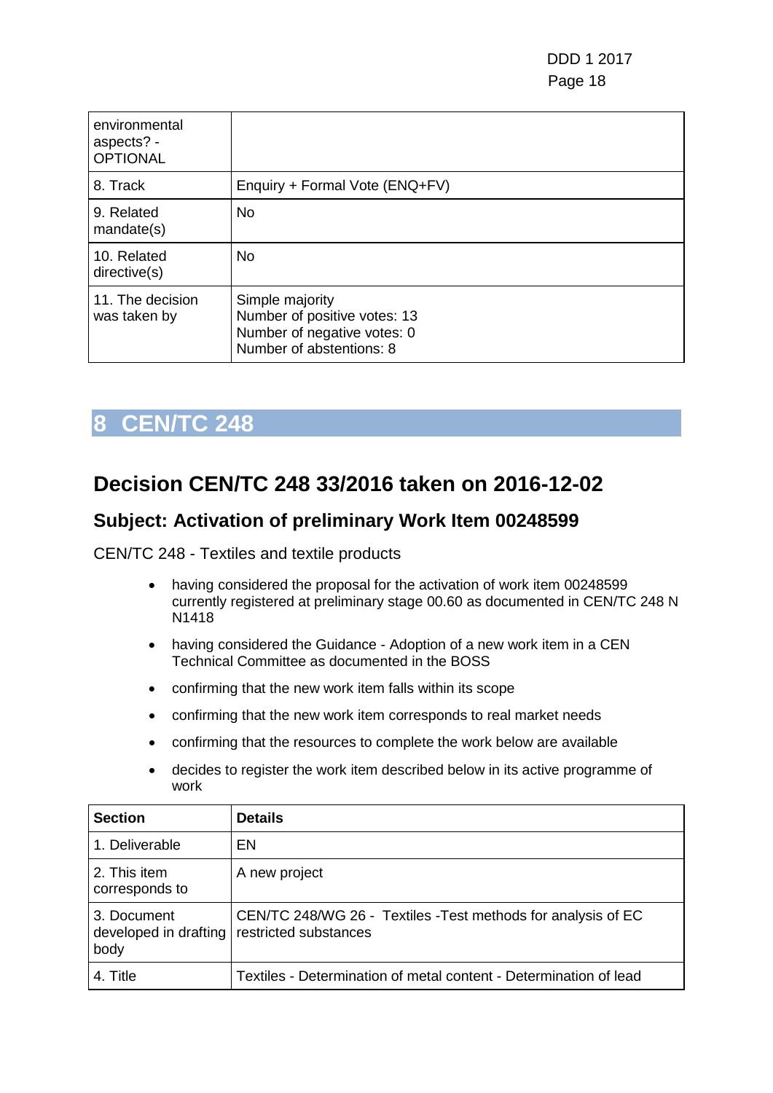| environmental<br>aspects? -<br><b>OPTIONAL</b> |                                                                                                            |
|------------------------------------------------|------------------------------------------------------------------------------------------------------------|
| 8. Track                                       | Enquiry + Formal Vote (ENQ+FV)                                                                             |
| 9. Related<br>mandate(s)                       | <b>No</b>                                                                                                  |
| 10. Related<br>directive(s)                    | <b>No</b>                                                                                                  |
| 11. The decision<br>was taken by               | Simple majority<br>Number of positive votes: 13<br>Number of negative votes: 0<br>Number of abstentions: 8 |

## <span id="page-17-0"></span>**Decision CEN/TC 248 33/2016 taken on 2016-12-02**

### **Subject: Activation of preliminary Work Item 00248599**

CEN/TC 248 - Textiles and textile products

- having considered the proposal for the activation of work item 00248599 currently registered at preliminary stage 00.60 as documented in CEN/TC 248 N N1418
- having considered the Guidance Adoption of a new work item in a CEN Technical Committee as documented in the BOSS
- confirming that the new work item falls within its scope
- confirming that the new work item corresponds to real market needs
- confirming that the resources to complete the work below are available
- decides to register the work item described below in its active programme of work

| <b>Section</b>                               | <b>Details</b>                                                                         |
|----------------------------------------------|----------------------------------------------------------------------------------------|
| 1. Deliverable                               | EN                                                                                     |
| 2. This item<br>corresponds to               | A new project                                                                          |
| 3. Document<br>developed in drafting<br>body | CEN/TC 248/WG 26 - Textiles - Test methods for analysis of EC<br>restricted substances |
| 4. Title                                     | Textiles - Determination of metal content - Determination of lead                      |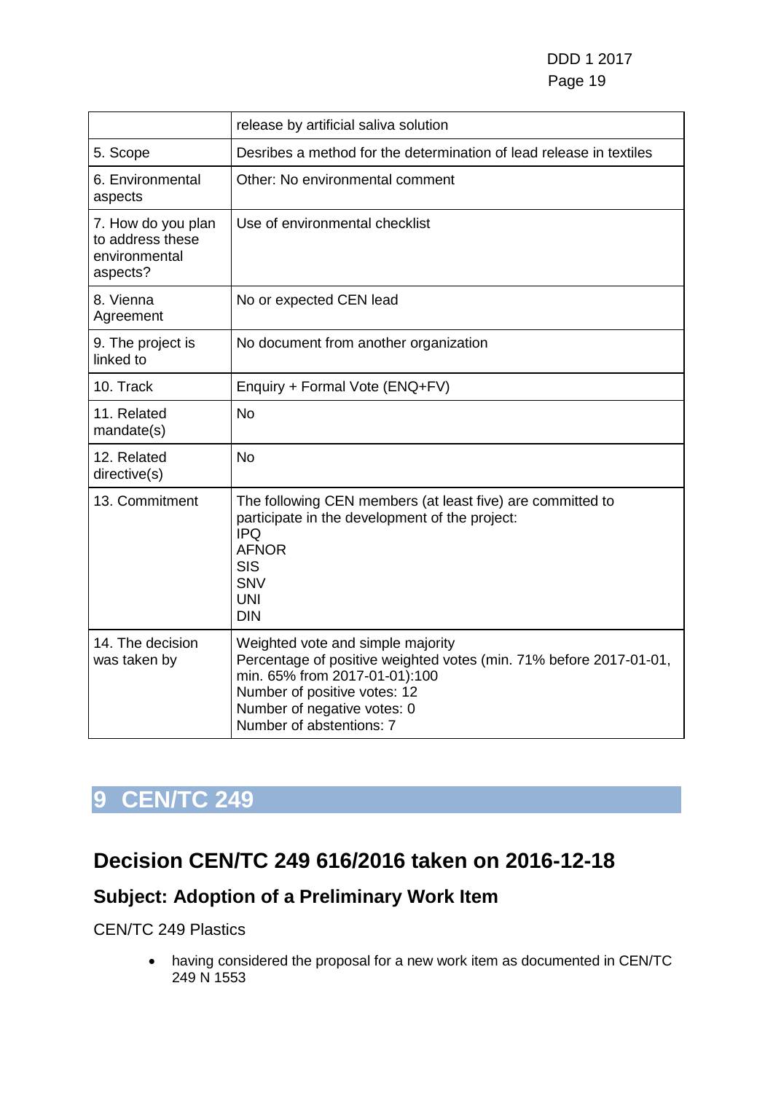|                                                                     | release by artificial saliva solution                                                                                                                                                                                               |
|---------------------------------------------------------------------|-------------------------------------------------------------------------------------------------------------------------------------------------------------------------------------------------------------------------------------|
| 5. Scope                                                            | Desribes a method for the determination of lead release in textiles                                                                                                                                                                 |
| 6. Environmental<br>aspects                                         | Other: No environmental comment                                                                                                                                                                                                     |
| 7. How do you plan<br>to address these<br>environmental<br>aspects? | Use of environmental checklist                                                                                                                                                                                                      |
| 8. Vienna<br>Agreement                                              | No or expected CEN lead                                                                                                                                                                                                             |
| 9. The project is<br>linked to                                      | No document from another organization                                                                                                                                                                                               |
| 10. Track                                                           | Enquiry + Formal Vote (ENQ+FV)                                                                                                                                                                                                      |
| 11. Related<br>mandate(s)                                           | <b>No</b>                                                                                                                                                                                                                           |
| 12. Related<br>directive(s)                                         | <b>No</b>                                                                                                                                                                                                                           |
| 13. Commitment                                                      | The following CEN members (at least five) are committed to<br>participate in the development of the project:<br><b>IPQ</b><br><b>AFNOR</b><br><b>SIS</b><br><b>SNV</b><br><b>UNI</b><br><b>DIN</b>                                  |
| 14. The decision<br>was taken by                                    | Weighted vote and simple majority<br>Percentage of positive weighted votes (min. 71% before 2017-01-01,<br>min. 65% from 2017-01-01):100<br>Number of positive votes: 12<br>Number of negative votes: 0<br>Number of abstentions: 7 |

## <span id="page-18-0"></span>**Decision CEN/TC 249 616/2016 taken on 2016-12-18**

## **Subject: Adoption of a Preliminary Work Item**

#### CEN/TC 249 Plastics

• having considered the proposal for a new work item as documented in CEN/TC 249 N 1553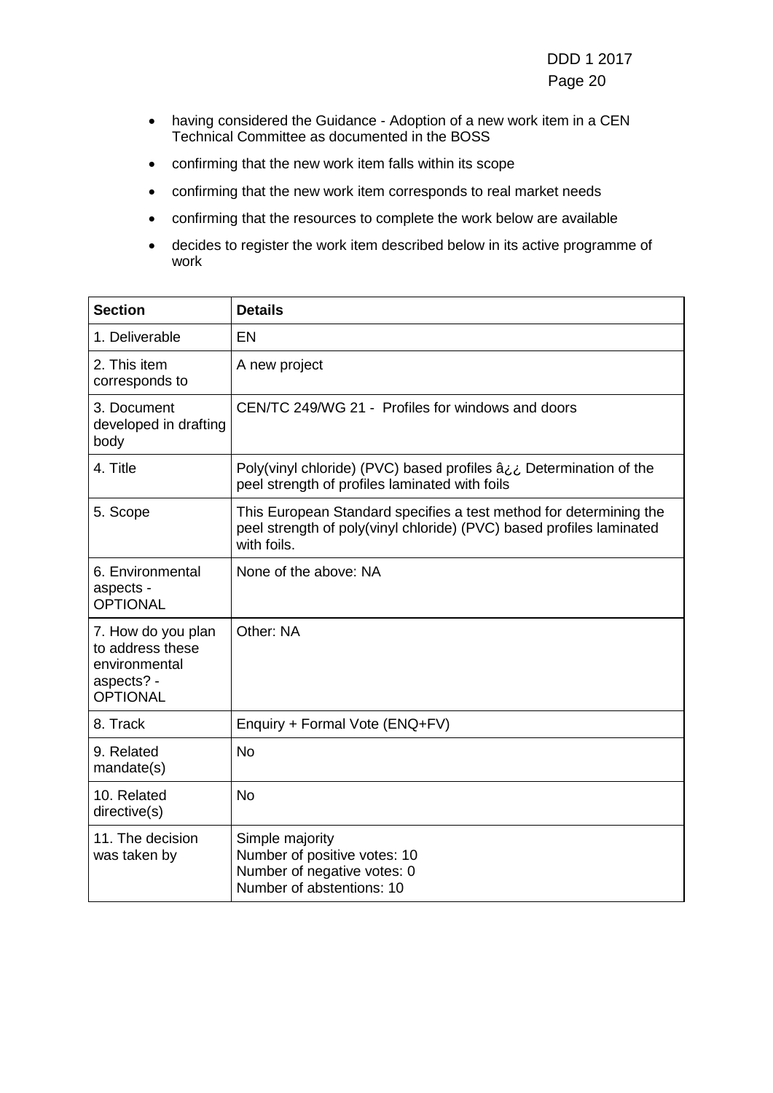- having considered the Guidance Adoption of a new work item in a CEN Technical Committee as documented in the BOSS
- confirming that the new work item falls within its scope
- confirming that the new work item corresponds to real market needs
- confirming that the resources to complete the work below are available
- decides to register the work item described below in its active programme of work

| <b>Section</b>                                                                           | <b>Details</b>                                                                                                                                            |
|------------------------------------------------------------------------------------------|-----------------------------------------------------------------------------------------------------------------------------------------------------------|
| 1. Deliverable                                                                           | EN                                                                                                                                                        |
| 2. This item<br>corresponds to                                                           | A new project                                                                                                                                             |
| 3. Document<br>developed in drafting<br>body                                             | CEN/TC 249/WG 21 - Profiles for windows and doors                                                                                                         |
| 4. Title                                                                                 | Poly(vinyl chloride) (PVC) based profiles $a_{i,i}$ Determination of the<br>peel strength of profiles laminated with foils                                |
| 5. Scope                                                                                 | This European Standard specifies a test method for determining the<br>peel strength of poly(vinyl chloride) (PVC) based profiles laminated<br>with foils. |
| 6. Environmental<br>aspects -<br><b>OPTIONAL</b>                                         | None of the above: NA                                                                                                                                     |
| 7. How do you plan<br>to address these<br>environmental<br>aspects? -<br><b>OPTIONAL</b> | Other: NA                                                                                                                                                 |
| 8. Track                                                                                 | Enquiry + Formal Vote (ENQ+FV)                                                                                                                            |
| 9. Related<br>mandate(s)                                                                 | <b>No</b>                                                                                                                                                 |
| 10. Related<br>directive(s)                                                              | <b>No</b>                                                                                                                                                 |
| 11. The decision<br>was taken by                                                         | Simple majority<br>Number of positive votes: 10<br>Number of negative votes: 0<br>Number of abstentions: 10                                               |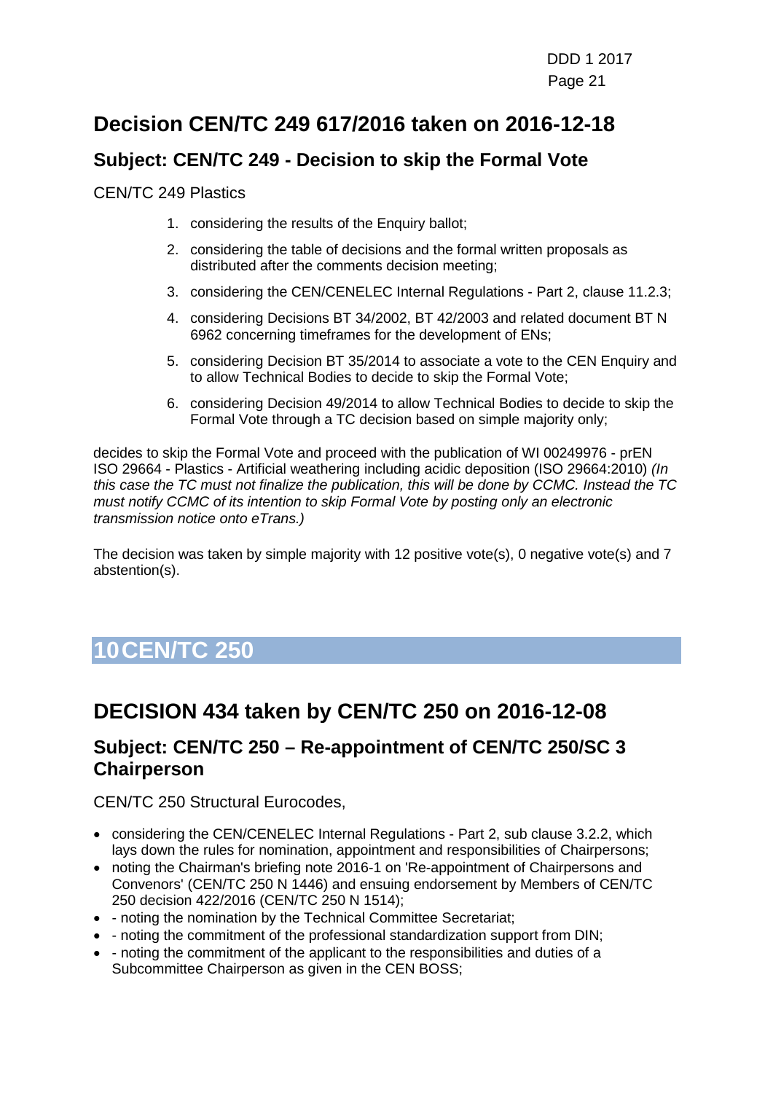## **Decision CEN/TC 249 617/2016 taken on 2016-12-18**

### **Subject: CEN/TC 249 - Decision to skip the Formal Vote**

CEN/TC 249 Plastics

- 1. considering the results of the Enquiry ballot;
- 2. considering the table of decisions and the formal written proposals as distributed after the comments decision meeting;
- 3. considering the CEN/CENELEC Internal Regulations Part 2, clause 11.2.3;
- 4. considering Decisions BT 34/2002, BT 42/2003 and related document BT N 6962 concerning timeframes for the development of ENs;
- 5. considering Decision BT 35/2014 to associate a vote to the CEN Enquiry and to allow Technical Bodies to decide to skip the Formal Vote;
- 6. considering Decision 49/2014 to allow Technical Bodies to decide to skip the Formal Vote through a TC decision based on simple majority only;

decides to skip the Formal Vote and proceed with the publication of WI 00249976 - prEN ISO 29664 - Plastics - Artificial weathering including acidic deposition (ISO 29664:2010) *(In this case the TC must not finalize the publication, this will be done by CCMC. Instead the TC must notify CCMC of its intention to skip Formal Vote by posting only an electronic transmission notice onto eTrans.)*

The decision was taken by simple majority with 12 positive vote(s), 0 negative vote(s) and 7 abstention(s).

# <span id="page-20-0"></span>**10CEN/TC 250**

## **DECISION 434 taken by CEN/TC 250 on 2016-12-08**

#### **Subject: CEN/TC 250 – Re-appointment of CEN/TC 250/SC 3 Chairperson**

CEN/TC 250 Structural Eurocodes,

- considering the CEN/CENELEC Internal Regulations Part 2, sub clause 3.2.2, which lays down the rules for nomination, appointment and responsibilities of Chairpersons;
- noting the Chairman's briefing note 2016-1 on 'Re-appointment of Chairpersons and Convenors' (CEN/TC 250 N 1446) and ensuing endorsement by Members of CEN/TC 250 decision 422/2016 (CEN/TC 250 N 1514);
- - noting the nomination by the Technical Committee Secretariat;
- - noting the commitment of the professional standardization support from DIN;
- - noting the commitment of the applicant to the responsibilities and duties of a Subcommittee Chairperson as given in the CEN BOSS;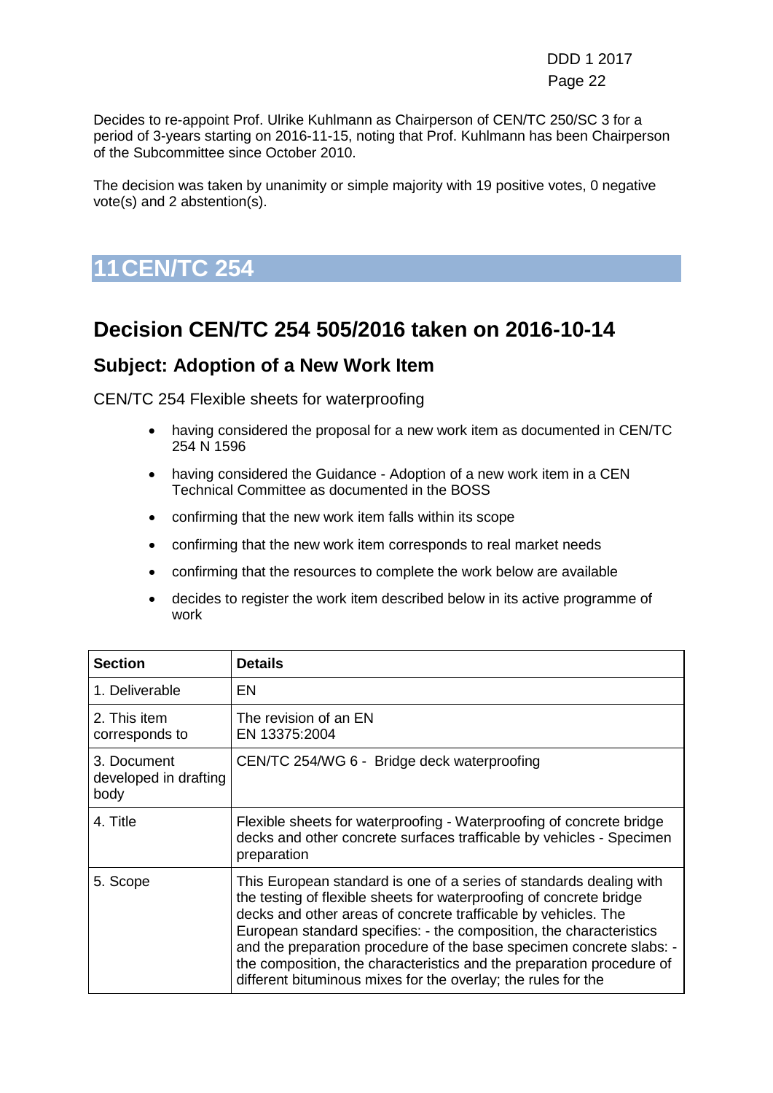DDD 1 2017 Page 22 (1999) and the contract of the contract of the Page 22 (1999) and the contract of the contract of the contract of the contract of the contract of the contract of the contract of the contract of the contract of the

Decides to re-appoint Prof. Ulrike Kuhlmann as Chairperson of CEN/TC 250/SC 3 for a period of 3-years starting on 2016-11-15, noting that Prof. Kuhlmann has been Chairperson of the Subcommittee since October 2010.

The decision was taken by unanimity or simple majority with 19 positive votes, 0 negative vote(s) and 2 abstention(s).

<span id="page-21-0"></span>**11CEN/TC 254**

## **Decision CEN/TC 254 505/2016 taken on 2016-10-14**

#### **Subject: Adoption of a New Work Item**

CEN/TC 254 Flexible sheets for waterproofing

- having considered the proposal for a new work item as documented in CEN/TC 254 N 1596
- having considered the Guidance Adoption of a new work item in a CEN Technical Committee as documented in the BOSS
- confirming that the new work item falls within its scope
- confirming that the new work item corresponds to real market needs
- confirming that the resources to complete the work below are available
- decides to register the work item described below in its active programme of work

| <b>Section</b>                               | <b>Details</b>                                                                                                                                                                                                                                                                                                                                                                                                                                                                                        |
|----------------------------------------------|-------------------------------------------------------------------------------------------------------------------------------------------------------------------------------------------------------------------------------------------------------------------------------------------------------------------------------------------------------------------------------------------------------------------------------------------------------------------------------------------------------|
| 1. Deliverable                               | EN                                                                                                                                                                                                                                                                                                                                                                                                                                                                                                    |
| 2. This item<br>corresponds to               | The revision of an EN<br>EN 13375:2004                                                                                                                                                                                                                                                                                                                                                                                                                                                                |
| 3. Document<br>developed in drafting<br>body | CEN/TC 254/WG 6 - Bridge deck waterproofing                                                                                                                                                                                                                                                                                                                                                                                                                                                           |
| 4. Title                                     | Flexible sheets for waterproofing - Waterproofing of concrete bridge<br>decks and other concrete surfaces trafficable by vehicles - Specimen<br>preparation                                                                                                                                                                                                                                                                                                                                           |
| 5. Scope                                     | This European standard is one of a series of standards dealing with<br>the testing of flexible sheets for waterproofing of concrete bridge<br>decks and other areas of concrete trafficable by vehicles. The<br>European standard specifies: - the composition, the characteristics<br>and the preparation procedure of the base specimen concrete slabs: -<br>the composition, the characteristics and the preparation procedure of<br>different bituminous mixes for the overlay; the rules for the |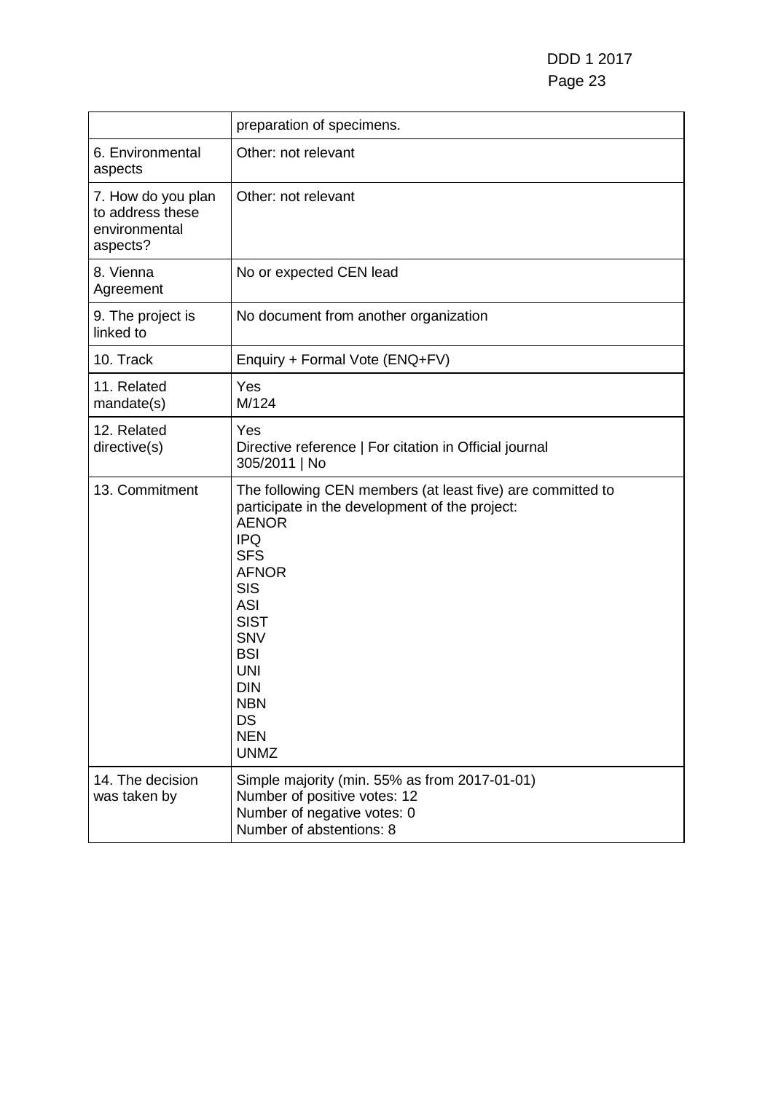|                                                                     | preparation of specimens.                                                                                                                                                                                                                                                                                                    |
|---------------------------------------------------------------------|------------------------------------------------------------------------------------------------------------------------------------------------------------------------------------------------------------------------------------------------------------------------------------------------------------------------------|
| 6. Environmental<br>aspects                                         | Other: not relevant                                                                                                                                                                                                                                                                                                          |
| 7. How do you plan<br>to address these<br>environmental<br>aspects? | Other: not relevant                                                                                                                                                                                                                                                                                                          |
| 8. Vienna<br>Agreement                                              | No or expected CEN lead                                                                                                                                                                                                                                                                                                      |
| 9. The project is<br>linked to                                      | No document from another organization                                                                                                                                                                                                                                                                                        |
| 10. Track                                                           | Enquiry + Formal Vote (ENQ+FV)                                                                                                                                                                                                                                                                                               |
| 11. Related<br>mandate(s)                                           | Yes<br>M/124                                                                                                                                                                                                                                                                                                                 |
| 12. Related<br>directive(s)                                         | Yes<br>Directive reference   For citation in Official journal<br>305/2011   No                                                                                                                                                                                                                                               |
| 13. Commitment                                                      | The following CEN members (at least five) are committed to<br>participate in the development of the project:<br><b>AENOR</b><br><b>IPQ</b><br><b>SFS</b><br><b>AFNOR</b><br><b>SIS</b><br><b>ASI</b><br><b>SIST</b><br><b>SNV</b><br><b>BSI</b><br><b>UNI</b><br><b>DIN</b><br><b>NBN</b><br>DS<br><b>NEN</b><br><b>UNMZ</b> |
| 14. The decision<br>was taken by                                    | Simple majority (min. 55% as from 2017-01-01)<br>Number of positive votes: 12<br>Number of negative votes: 0<br>Number of abstentions: 8                                                                                                                                                                                     |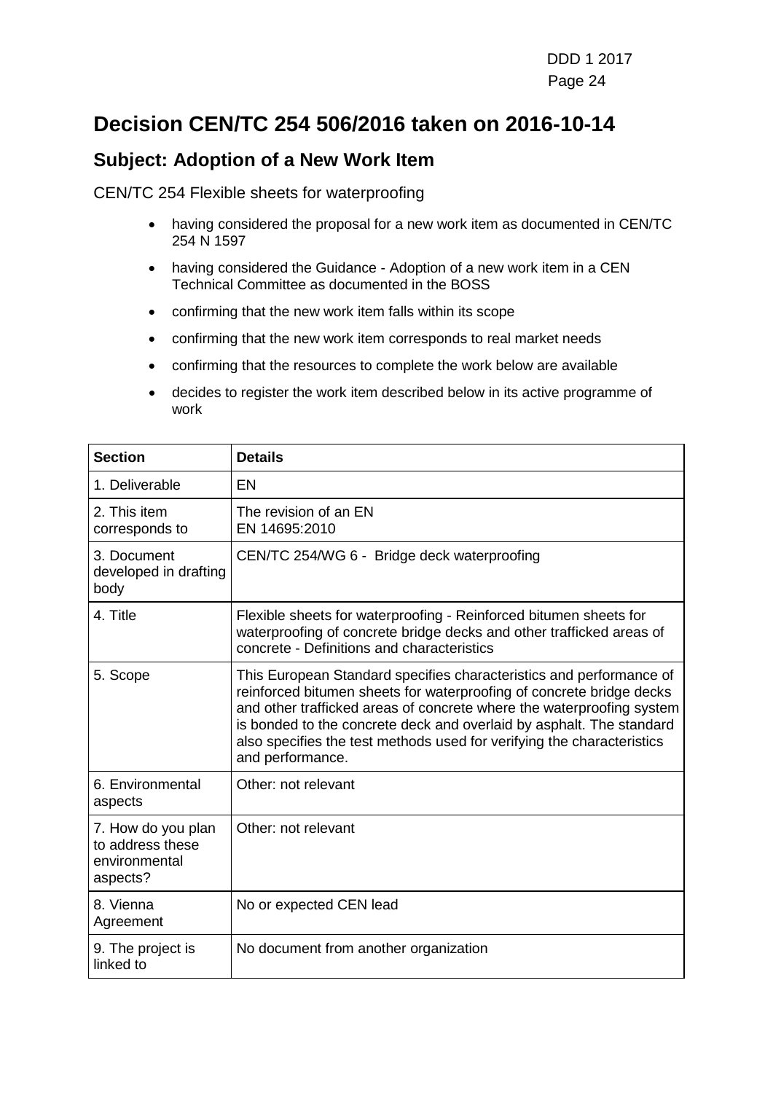## **Decision CEN/TC 254 506/2016 taken on 2016-10-14**

#### **Subject: Adoption of a New Work Item**

CEN/TC 254 Flexible sheets for waterproofing

- having considered the proposal for a new work item as documented in CEN/TC 254 N 1597
- having considered the Guidance Adoption of a new work item in a CEN Technical Committee as documented in the BOSS
- confirming that the new work item falls within its scope
- confirming that the new work item corresponds to real market needs
- confirming that the resources to complete the work below are available
- decides to register the work item described below in its active programme of work

| <b>Section</b>                                                      | <b>Details</b>                                                                                                                                                                                                                                                                                                                                                                             |
|---------------------------------------------------------------------|--------------------------------------------------------------------------------------------------------------------------------------------------------------------------------------------------------------------------------------------------------------------------------------------------------------------------------------------------------------------------------------------|
| 1. Deliverable                                                      | EN                                                                                                                                                                                                                                                                                                                                                                                         |
| 2. This item<br>corresponds to                                      | The revision of an EN<br>EN 14695:2010                                                                                                                                                                                                                                                                                                                                                     |
| 3. Document<br>developed in drafting<br>body                        | CEN/TC 254/WG 6 - Bridge deck waterproofing                                                                                                                                                                                                                                                                                                                                                |
| 4. Title                                                            | Flexible sheets for waterproofing - Reinforced bitumen sheets for<br>waterproofing of concrete bridge decks and other trafficked areas of<br>concrete - Definitions and characteristics                                                                                                                                                                                                    |
| 5. Scope                                                            | This European Standard specifies characteristics and performance of<br>reinforced bitumen sheets for waterproofing of concrete bridge decks<br>and other trafficked areas of concrete where the waterproofing system<br>is bonded to the concrete deck and overlaid by asphalt. The standard<br>also specifies the test methods used for verifying the characteristics<br>and performance. |
| 6. Environmental<br>aspects                                         | Other: not relevant                                                                                                                                                                                                                                                                                                                                                                        |
| 7. How do you plan<br>to address these<br>environmental<br>aspects? | Other: not relevant                                                                                                                                                                                                                                                                                                                                                                        |
| 8. Vienna<br>Agreement                                              | No or expected CEN lead                                                                                                                                                                                                                                                                                                                                                                    |
| 9. The project is<br>linked to                                      | No document from another organization                                                                                                                                                                                                                                                                                                                                                      |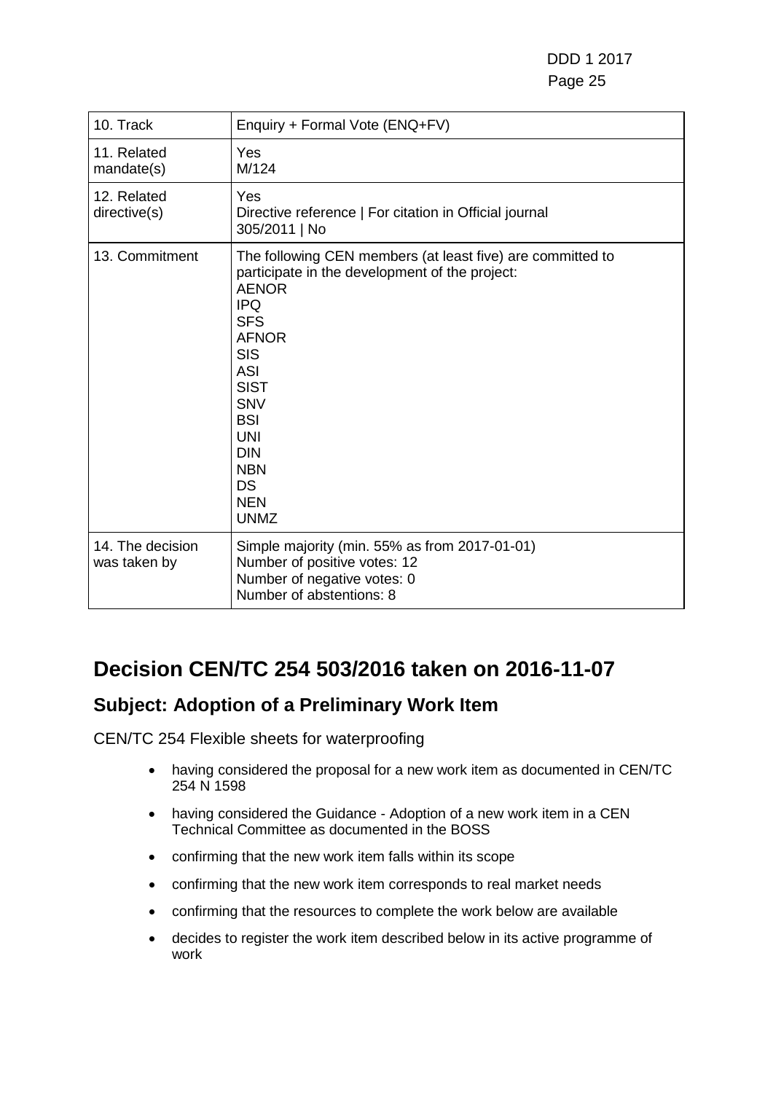DDD 1 2017 Page 25

| 10. Track                        | Enquiry + Formal Vote (ENQ+FV)                                                                                                                                                                                                                                                                                                      |
|----------------------------------|-------------------------------------------------------------------------------------------------------------------------------------------------------------------------------------------------------------------------------------------------------------------------------------------------------------------------------------|
| 11. Related<br>mandate(s)        | <b>Yes</b><br>M/124                                                                                                                                                                                                                                                                                                                 |
| 12. Related<br>directive(s)      | Yes<br>Directive reference   For citation in Official journal<br>305/2011   No                                                                                                                                                                                                                                                      |
| 13. Commitment                   | The following CEN members (at least five) are committed to<br>participate in the development of the project:<br><b>AENOR</b><br><b>IPQ</b><br><b>SFS</b><br><b>AFNOR</b><br><b>SIS</b><br><b>ASI</b><br><b>SIST</b><br><b>SNV</b><br><b>BSI</b><br><b>UNI</b><br><b>DIN</b><br><b>NBN</b><br><b>DS</b><br><b>NEN</b><br><b>UNMZ</b> |
| 14. The decision<br>was taken by | Simple majority (min. 55% as from 2017-01-01)<br>Number of positive votes: 12<br>Number of negative votes: 0<br>Number of abstentions: 8                                                                                                                                                                                            |

## **Decision CEN/TC 254 503/2016 taken on 2016-11-07**

### **Subject: Adoption of a Preliminary Work Item**

CEN/TC 254 Flexible sheets for waterproofing

- having considered the proposal for a new work item as documented in CEN/TC 254 N 1598
- having considered the Guidance Adoption of a new work item in a CEN Technical Committee as documented in the BOSS
- confirming that the new work item falls within its scope
- confirming that the new work item corresponds to real market needs
- confirming that the resources to complete the work below are available
- decides to register the work item described below in its active programme of work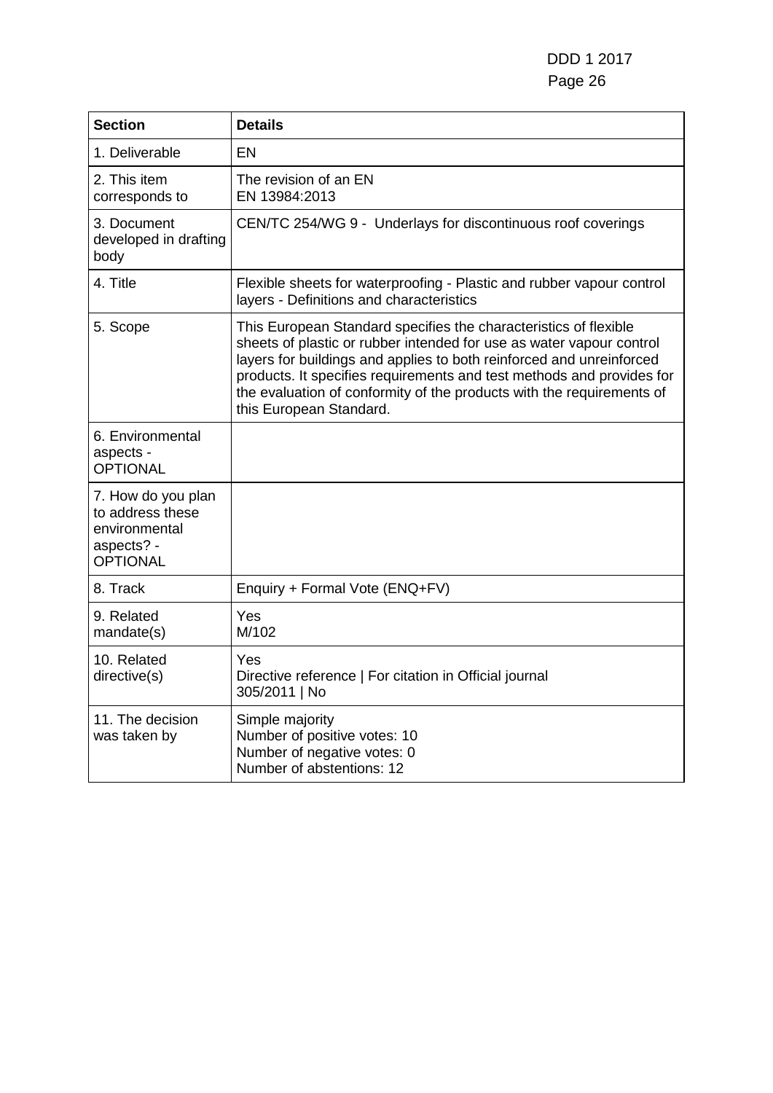| <b>Section</b>                                                                           | <b>Details</b>                                                                                                                                                                                                                                                                                                                                                                                |
|------------------------------------------------------------------------------------------|-----------------------------------------------------------------------------------------------------------------------------------------------------------------------------------------------------------------------------------------------------------------------------------------------------------------------------------------------------------------------------------------------|
| 1. Deliverable                                                                           | EN                                                                                                                                                                                                                                                                                                                                                                                            |
| 2. This item<br>corresponds to                                                           | The revision of an EN<br>EN 13984:2013                                                                                                                                                                                                                                                                                                                                                        |
| 3. Document<br>developed in drafting<br>body                                             | CEN/TC 254/WG 9 - Underlays for discontinuous roof coverings                                                                                                                                                                                                                                                                                                                                  |
| 4. Title                                                                                 | Flexible sheets for waterproofing - Plastic and rubber vapour control<br>layers - Definitions and characteristics                                                                                                                                                                                                                                                                             |
| 5. Scope                                                                                 | This European Standard specifies the characteristics of flexible<br>sheets of plastic or rubber intended for use as water vapour control<br>layers for buildings and applies to both reinforced and unreinforced<br>products. It specifies requirements and test methods and provides for<br>the evaluation of conformity of the products with the requirements of<br>this European Standard. |
| 6. Environmental<br>aspects -<br><b>OPTIONAL</b>                                         |                                                                                                                                                                                                                                                                                                                                                                                               |
| 7. How do you plan<br>to address these<br>environmental<br>aspects? -<br><b>OPTIONAL</b> |                                                                                                                                                                                                                                                                                                                                                                                               |
| 8. Track                                                                                 | Enquiry + Formal Vote (ENQ+FV)                                                                                                                                                                                                                                                                                                                                                                |
| 9. Related<br>mandate(s)                                                                 | Yes<br>M/102                                                                                                                                                                                                                                                                                                                                                                                  |
| 10. Related<br>directive(s)                                                              | Yes<br>Directive reference   For citation in Official journal<br>305/2011   No                                                                                                                                                                                                                                                                                                                |
| 11. The decision<br>was taken by                                                         | Simple majority<br>Number of positive votes: 10<br>Number of negative votes: 0<br>Number of abstentions: 12                                                                                                                                                                                                                                                                                   |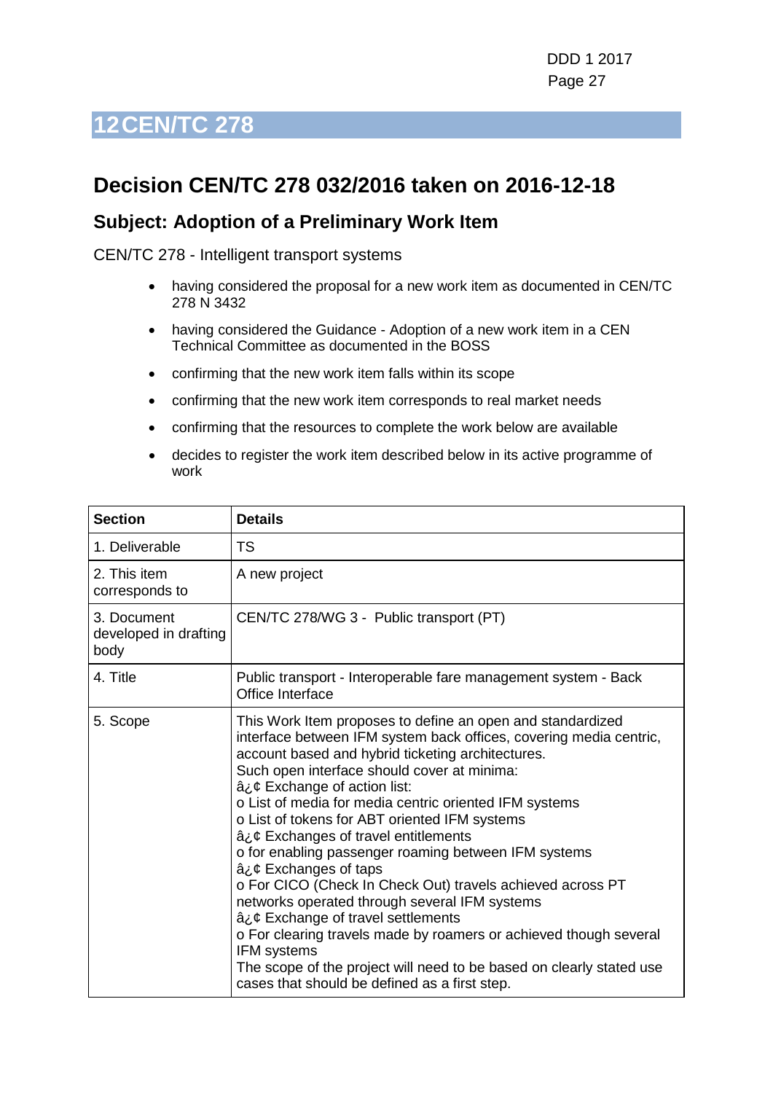## <span id="page-26-0"></span>**Decision CEN/TC 278 032/2016 taken on 2016-12-18**

#### **Subject: Adoption of a Preliminary Work Item**

CEN/TC 278 - Intelligent transport systems

- having considered the proposal for a new work item as documented in CEN/TC 278 N 3432
- having considered the Guidance Adoption of a new work item in a CEN Technical Committee as documented in the BOSS
- confirming that the new work item falls within its scope
- confirming that the new work item corresponds to real market needs
- confirming that the resources to complete the work below are available
- decides to register the work item described below in its active programme of work

| <b>Section</b>                               | <b>Details</b>                                                                                                                                                                                                                                                                                                                                                                                                                                                                                                                                                                                                                                                                                                                                                                                                                                                                    |
|----------------------------------------------|-----------------------------------------------------------------------------------------------------------------------------------------------------------------------------------------------------------------------------------------------------------------------------------------------------------------------------------------------------------------------------------------------------------------------------------------------------------------------------------------------------------------------------------------------------------------------------------------------------------------------------------------------------------------------------------------------------------------------------------------------------------------------------------------------------------------------------------------------------------------------------------|
| 1. Deliverable                               | <b>TS</b>                                                                                                                                                                                                                                                                                                                                                                                                                                                                                                                                                                                                                                                                                                                                                                                                                                                                         |
| 2. This item<br>corresponds to               | A new project                                                                                                                                                                                                                                                                                                                                                                                                                                                                                                                                                                                                                                                                                                                                                                                                                                                                     |
| 3. Document<br>developed in drafting<br>body | CEN/TC 278/WG 3 - Public transport (PT)                                                                                                                                                                                                                                                                                                                                                                                                                                                                                                                                                                                                                                                                                                                                                                                                                                           |
| 4. Title                                     | Public transport - Interoperable fare management system - Back<br>Office Interface                                                                                                                                                                                                                                                                                                                                                                                                                                                                                                                                                                                                                                                                                                                                                                                                |
| 5. Scope                                     | This Work Item proposes to define an open and standardized<br>interface between IFM system back offices, covering media centric,<br>account based and hybrid ticketing architectures.<br>Such open interface should cover at minima:<br>â¿¢ Exchange of action list:<br>o List of media for media centric oriented IFM systems<br>o List of tokens for ABT oriented IFM systems<br>â¿¢ Exchanges of travel entitlements<br>o for enabling passenger roaming between IFM systems<br>â¿¢ Exchanges of taps<br>o For CICO (Check In Check Out) travels achieved across PT<br>networks operated through several IFM systems<br>â¿¢ Exchange of travel settlements<br>o For clearing travels made by roamers or achieved though several<br><b>IFM</b> systems<br>The scope of the project will need to be based on clearly stated use<br>cases that should be defined as a first step. |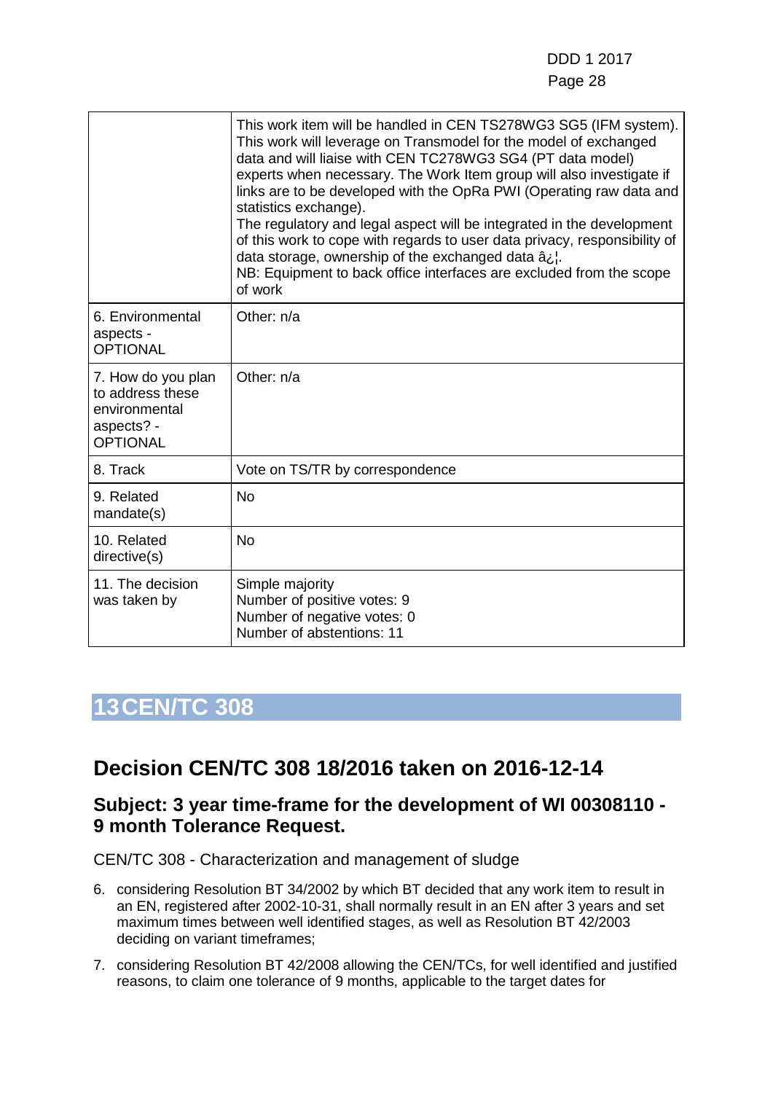|                                                                                          | This work item will be handled in CEN TS278WG3 SG5 (IFM system).<br>This work will leverage on Transmodel for the model of exchanged<br>data and will liaise with CEN TC278WG3 SG4 (PT data model)<br>experts when necessary. The Work Item group will also investigate if<br>links are to be developed with the OpRa PWI (Operating raw data and<br>statistics exchange).<br>The regulatory and legal aspect will be integrated in the development<br>of this work to cope with regards to user data privacy, responsibility of<br>data storage, ownership of the exchanged data â.<br>NB: Equipment to back office interfaces are excluded from the scope<br>of work |
|------------------------------------------------------------------------------------------|------------------------------------------------------------------------------------------------------------------------------------------------------------------------------------------------------------------------------------------------------------------------------------------------------------------------------------------------------------------------------------------------------------------------------------------------------------------------------------------------------------------------------------------------------------------------------------------------------------------------------------------------------------------------|
| 6. Environmental<br>aspects -<br><b>OPTIONAL</b>                                         | Other: n/a                                                                                                                                                                                                                                                                                                                                                                                                                                                                                                                                                                                                                                                             |
| 7. How do you plan<br>to address these<br>environmental<br>aspects? -<br><b>OPTIONAL</b> | Other: n/a                                                                                                                                                                                                                                                                                                                                                                                                                                                                                                                                                                                                                                                             |
| 8. Track                                                                                 | Vote on TS/TR by correspondence                                                                                                                                                                                                                                                                                                                                                                                                                                                                                                                                                                                                                                        |
| 9. Related<br>mandate(s)                                                                 | <b>No</b>                                                                                                                                                                                                                                                                                                                                                                                                                                                                                                                                                                                                                                                              |
| 10. Related<br>directive(s)                                                              | <b>No</b>                                                                                                                                                                                                                                                                                                                                                                                                                                                                                                                                                                                                                                                              |
| 11. The decision<br>was taken by                                                         | Simple majority<br>Number of positive votes: 9<br>Number of negative votes: 0<br>Number of abstentions: 11                                                                                                                                                                                                                                                                                                                                                                                                                                                                                                                                                             |

## <span id="page-27-0"></span>**Decision CEN/TC 308 18/2016 taken on 2016-12-14**

#### **Subject: 3 year time-frame for the development of WI 00308110 - 9 month Tolerance Request.**

CEN/TC 308 - Characterization and management of sludge

- 6. considering Resolution BT 34/2002 by which BT decided that any work item to result in an EN, registered after 2002-10-31, shall normally result in an EN after 3 years and set maximum times between well identified stages, as well as Resolution BT 42/2003 deciding on variant timeframes;
- 7. considering Resolution BT 42/2008 allowing the CEN/TCs, for well identified and justified reasons, to claim one tolerance of 9 months, applicable to the target dates for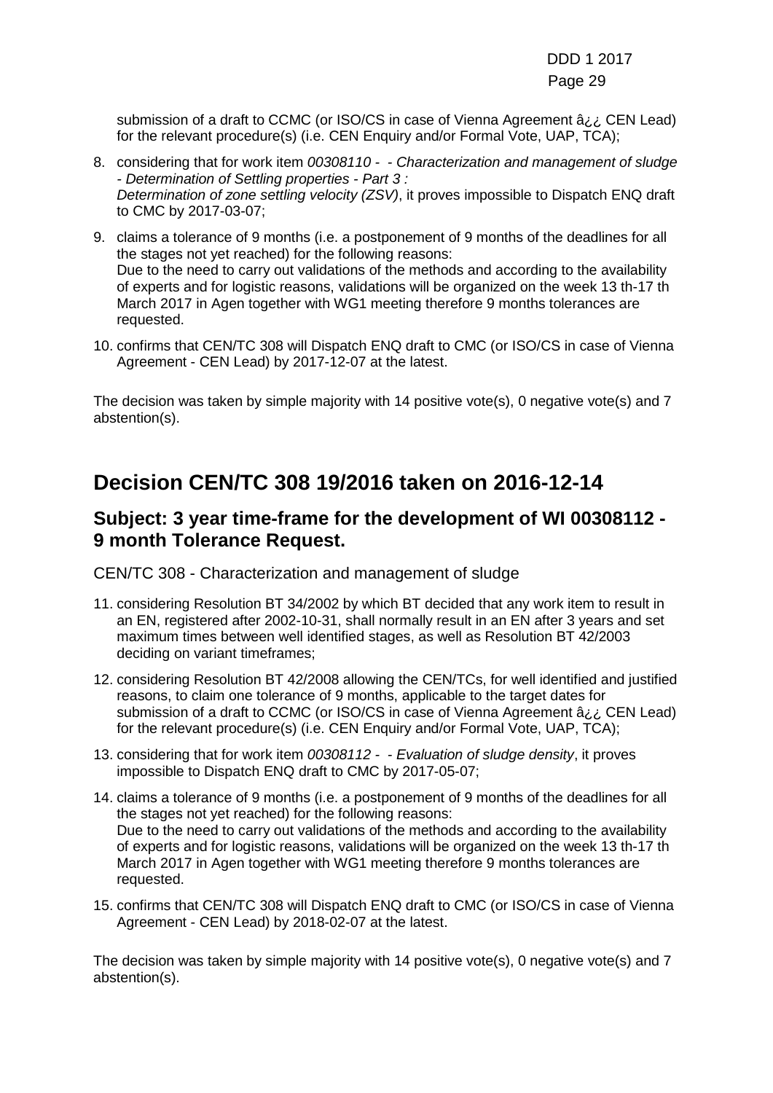DDD 1 2017 e de la construction de la construction de la construction de la construction de la construction de la constru

submission of a draft to CCMC (or ISO/CS in case of Vienna Agreement â¿¿ CEN Lead) for the relevant procedure(s) (i.e. CEN Enquiry and/or Formal Vote, UAP, TCA);

- 8. considering that for work item *00308110 - Characterization and management of sludge - Determination of Settling properties - Part 3 : Determination of zone settling velocity (ZSV)*, it proves impossible to Dispatch ENQ draft to CMC by 2017-03-07;
- 9. claims a tolerance of 9 months (i.e. a postponement of 9 months of the deadlines for all the stages not yet reached) for the following reasons: Due to the need to carry out validations of the methods and according to the availability of experts and for logistic reasons, validations will be organized on the week 13 th-17 th March 2017 in Agen together with WG1 meeting therefore 9 months tolerances are requested.
- 10. confirms that CEN/TC 308 will Dispatch ENQ draft to CMC (or ISO/CS in case of Vienna Agreement - CEN Lead) by 2017-12-07 at the latest.

The decision was taken by simple majority with 14 positive vote(s), 0 negative vote(s) and 7 abstention(s).

### **Decision CEN/TC 308 19/2016 taken on 2016-12-14**

#### **Subject: 3 year time-frame for the development of WI 00308112 - 9 month Tolerance Request.**

CEN/TC 308 - Characterization and management of sludge

- 11. considering Resolution BT 34/2002 by which BT decided that any work item to result in an EN, registered after 2002-10-31, shall normally result in an EN after 3 years and set maximum times between well identified stages, as well as Resolution BT 42/2003 deciding on variant timeframes;
- 12. considering Resolution BT 42/2008 allowing the CEN/TCs, for well identified and justified reasons, to claim one tolerance of 9 months, applicable to the target dates for submission of a draft to CCMC (or ISO/CS in case of Vienna Agreement  $a_{i,i}$  CEN Lead) for the relevant procedure(s) (i.e. CEN Enquiry and/or Formal Vote, UAP, TCA);
- 13. considering that for work item *00308112 - Evaluation of sludge density*, it proves impossible to Dispatch ENQ draft to CMC by 2017-05-07;
- 14. claims a tolerance of 9 months (i.e. a postponement of 9 months of the deadlines for all the stages not yet reached) for the following reasons: Due to the need to carry out validations of the methods and according to the availability of experts and for logistic reasons, validations will be organized on the week 13 th-17 th March 2017 in Agen together with WG1 meeting therefore 9 months tolerances are requested.
- 15. confirms that CEN/TC 308 will Dispatch ENQ draft to CMC (or ISO/CS in case of Vienna Agreement - CEN Lead) by 2018-02-07 at the latest.

The decision was taken by simple majority with 14 positive vote(s), 0 negative vote(s) and 7 abstention(s).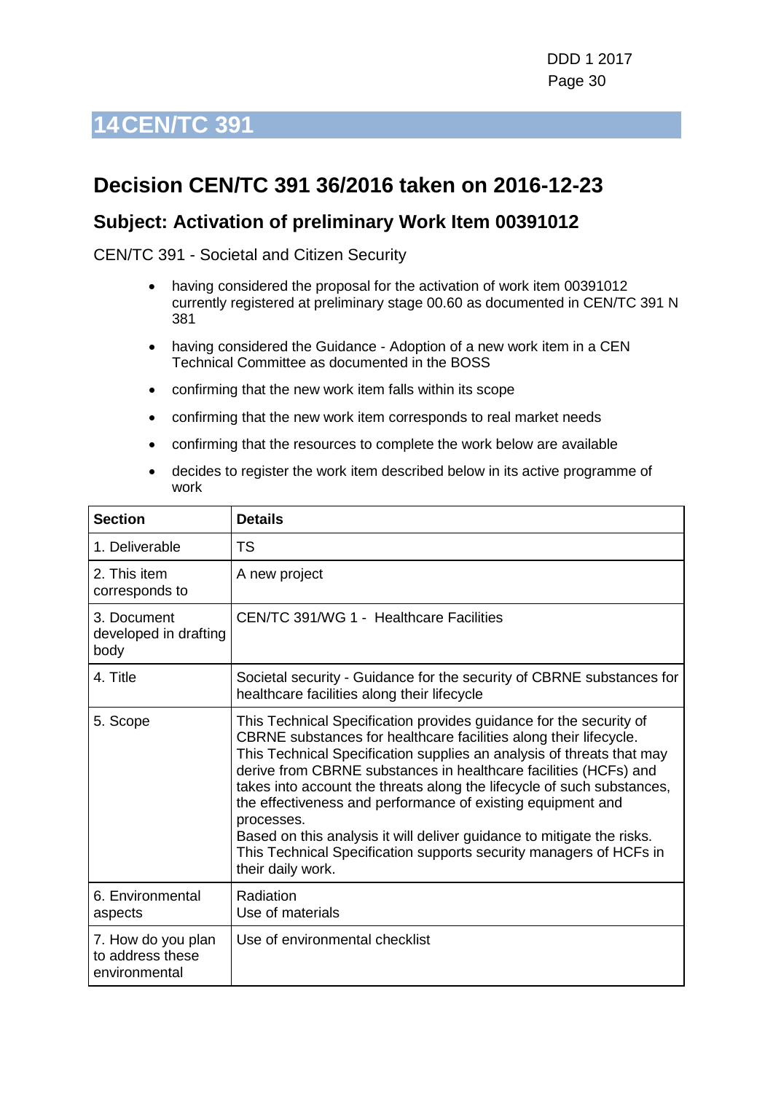## <span id="page-29-0"></span>**Decision CEN/TC 391 36/2016 taken on 2016-12-23**

#### **Subject: Activation of preliminary Work Item 00391012**

CEN/TC 391 - Societal and Citizen Security

- having considered the proposal for the activation of work item 00391012 currently registered at preliminary stage 00.60 as documented in CEN/TC 391 N 381
- having considered the Guidance Adoption of a new work item in a CEN Technical Committee as documented in the BOSS
- confirming that the new work item falls within its scope
- confirming that the new work item corresponds to real market needs
- confirming that the resources to complete the work below are available
- decides to register the work item described below in its active programme of work

| <b>Section</b>                                          | <b>Details</b>                                                                                                                                                                                                                                                                                                                                                                                                                                                                                                                                                                                                   |
|---------------------------------------------------------|------------------------------------------------------------------------------------------------------------------------------------------------------------------------------------------------------------------------------------------------------------------------------------------------------------------------------------------------------------------------------------------------------------------------------------------------------------------------------------------------------------------------------------------------------------------------------------------------------------------|
| 1. Deliverable                                          | <b>TS</b>                                                                                                                                                                                                                                                                                                                                                                                                                                                                                                                                                                                                        |
| 2. This item<br>corresponds to                          | A new project                                                                                                                                                                                                                                                                                                                                                                                                                                                                                                                                                                                                    |
| 3. Document<br>developed in drafting<br>body            | CEN/TC 391/WG 1 - Healthcare Facilities                                                                                                                                                                                                                                                                                                                                                                                                                                                                                                                                                                          |
| 4. Title                                                | Societal security - Guidance for the security of CBRNE substances for<br>healthcare facilities along their lifecycle                                                                                                                                                                                                                                                                                                                                                                                                                                                                                             |
| 5. Scope                                                | This Technical Specification provides guidance for the security of<br>CBRNE substances for healthcare facilities along their lifecycle.<br>This Technical Specification supplies an analysis of threats that may<br>derive from CBRNE substances in healthcare facilities (HCFs) and<br>takes into account the threats along the lifecycle of such substances,<br>the effectiveness and performance of existing equipment and<br>processes.<br>Based on this analysis it will deliver guidance to mitigate the risks.<br>This Technical Specification supports security managers of HCFs in<br>their daily work. |
| 6. Environmental<br>aspects                             | Radiation<br>Use of materials                                                                                                                                                                                                                                                                                                                                                                                                                                                                                                                                                                                    |
| 7. How do you plan<br>to address these<br>environmental | Use of environmental checklist                                                                                                                                                                                                                                                                                                                                                                                                                                                                                                                                                                                   |